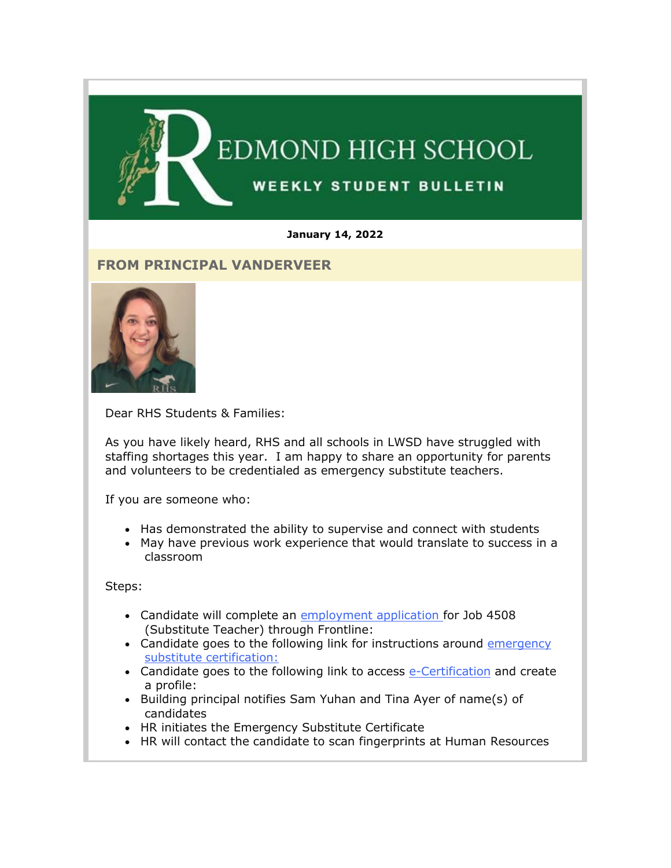

#### **January 14, 2022**

### **FROM PRINCIPAL VANDERVEER**



Dear RHS Students & Families:

As you have likely heard, RHS and all schools in LWSD have struggled with staffing shortages this year. I am happy to share an opportunity for parents and volunteers to be credentialed as emergency substitute teachers.

If you are someone who:

- Has demonstrated the ability to supervise and connect with students
- May have previous work experience that would translate to success in a classroom

Steps:

- Candidate will complete an [employment application f](https://nam02.safelinks.protection.outlook.com/?url=http%3A%2F%2Flink.email.dynect.net%2Flink.php%3FDynEngagement%3Dtrue%26H%3DOOqfIEhTnDS349ke6cpwQyJJsnz1EIHT%252FaVku0ZQcaF2SFWFVk3NNW39KTE%252FMjezRaBEw4bA1VC7lA5wlEJw6ABIpFllooMdl8oUTtbfh2ebmaovyEjFqA%253D%253D%26G%3D0%26R%3Dhttps%253A%252F%252FHFGSGYZTANA.hatchbuck.com%252FTrackLinkClick%253FID2%253DDWGk19X9WVHSrySXOJrCh1r1wImn3S3fswAo8rKehcQUlCkYfQuKhaEJgfrxq5hb0%26I%3D20220114230329.000000100947%2540smtp-ad3-48-phx%26X%3DMHwxMjY0OTIyOjI0MzAxMDgzODE7MXwxMjY0OTIzOjE5MTE1MzMzMTs%253D%26V%3D3%26S%3Dx4XAJrBSk2rZVBZl3NXnriR9GOQyQ_yeqZP3NJUlRo4&data=04%7C01%7Cmwood%40lwsd.org%7C917023bcc2624ea0602808d9d7b214f2%7C1fd4673fdf9646218638a1d88c4c85d7%7C0%7C0%7C637777982145265453%7CUnknown%7CTWFpbGZsb3d8eyJWIjoiMC4wLjAwMDAiLCJQIjoiV2luMzIiLCJBTiI6Ik1haWwiLCJXVCI6Mn0%3D%7C3000&sdata=EuFPZwuOA6UJmN1etz77K5d2nsVoxuK0PvnudbRKT2k%3D&reserved=0)or Job 4508 (Substitute Teacher) through Frontline:
- Candidate goes to the following link for instructions around [emergency](https://nam02.safelinks.protection.outlook.com/?url=http%3A%2F%2Flink.email.dynect.net%2Flink.php%3FDynEngagement%3Dtrue%26H%3DOOqfIEhTnDS349ke6cpwQyJJsnz1EIHT%252FaVku0ZQcaF2SFWFVk3NNW39KTE%252FMjezRaBEw4bA1VC7lA5wlEJw6ABIpFllooMdl8oUTtbfh2ebmaovyEjFqA%253D%253D%26G%3D0%26R%3Dhttps%253A%252F%252FHFGSGYZTANA.hatchbuck.com%252FTrackLinkClick%253FID2%253DcOLk3hKNu5JoDWT_7_rZfmMdpgl9xRYpNbTJYEU80MzXWcvmObNyNeCmkgGvZLFK0%26I%3D20220114230329.000000100947%2540smtp-ad3-48-phx%26X%3DMHwxMjY0OTIyOjI0MzAxMDgzODE7MXwxMjY0OTIzOjE5MTE1MzMzMTs%253D%26V%3D3%26S%3D7C2zJ3tmxDgeLl8NOSVC6GbBahBC20OdxVuhngYKZrs&data=04%7C01%7Cmwood%40lwsd.org%7C917023bcc2624ea0602808d9d7b214f2%7C1fd4673fdf9646218638a1d88c4c85d7%7C0%7C0%7C637777982145421698%7CUnknown%7CTWFpbGZsb3d8eyJWIjoiMC4wLjAwMDAiLCJQIjoiV2luMzIiLCJBTiI6Ik1haWwiLCJXVCI6Mn0%3D%7C3000&sdata=TcnwcO3E8x0lTjEsgLKF%2BR02KRIcNsnRSxmxMSW%2F26E%3D&reserved=0)  [substitute certification:](https://nam02.safelinks.protection.outlook.com/?url=http%3A%2F%2Flink.email.dynect.net%2Flink.php%3FDynEngagement%3Dtrue%26H%3DOOqfIEhTnDS349ke6cpwQyJJsnz1EIHT%252FaVku0ZQcaF2SFWFVk3NNW39KTE%252FMjezRaBEw4bA1VC7lA5wlEJw6ABIpFllooMdl8oUTtbfh2ebmaovyEjFqA%253D%253D%26G%3D0%26R%3Dhttps%253A%252F%252FHFGSGYZTANA.hatchbuck.com%252FTrackLinkClick%253FID2%253DcOLk3hKNu5JoDWT_7_rZfmMdpgl9xRYpNbTJYEU80MzXWcvmObNyNeCmkgGvZLFK0%26I%3D20220114230329.000000100947%2540smtp-ad3-48-phx%26X%3DMHwxMjY0OTIyOjI0MzAxMDgzODE7MXwxMjY0OTIzOjE5MTE1MzMzMTs%253D%26V%3D3%26S%3D7C2zJ3tmxDgeLl8NOSVC6GbBahBC20OdxVuhngYKZrs&data=04%7C01%7Cmwood%40lwsd.org%7C917023bcc2624ea0602808d9d7b214f2%7C1fd4673fdf9646218638a1d88c4c85d7%7C0%7C0%7C637777982145421698%7CUnknown%7CTWFpbGZsb3d8eyJWIjoiMC4wLjAwMDAiLCJQIjoiV2luMzIiLCJBTiI6Ik1haWwiLCJXVCI6Mn0%3D%7C3000&sdata=TcnwcO3E8x0lTjEsgLKF%2BR02KRIcNsnRSxmxMSW%2F26E%3D&reserved=0)
- Candidate goes to the following link to access [e-Certification](https://nam02.safelinks.protection.outlook.com/?url=http%3A%2F%2Flink.email.dynect.net%2Flink.php%3FDynEngagement%3Dtrue%26H%3DOOqfIEhTnDS349ke6cpwQyJJsnz1EIHT%252FaVku0ZQcaF2SFWFVk3NNW39KTE%252FMjezRaBEw4bA1VC7lA5wlEJw6ABIpFllooMdl8oUTtbfh2ebmaovyEjFqA%253D%253D%26G%3D0%26R%3Dhttps%253A%252F%252FHFGSGYZTANA.hatchbuck.com%252FTrackLinkClick%253FID2%253Dvh8n766oG3XmqVOHpni2AgZSJUrRopFVE4k4FRF2cuOJ5fE2UjWJDQ25vHRrNdUi0%26I%3D20220114230329.000000100947%2540smtp-ad3-48-phx%26X%3DMHwxMjY0OTIyOjI0MzAxMDgzODE7MXwxMjY0OTIzOjE5MTE1MzMzMTs%253D%26V%3D3%26S%3D_EsIi7kHJVO9gWLsBxE7cb0yOOl2H05Ob_ZDnbxfOFw&data=04%7C01%7Cmwood%40lwsd.org%7C917023bcc2624ea0602808d9d7b214f2%7C1fd4673fdf9646218638a1d88c4c85d7%7C0%7C0%7C637777982145421698%7CUnknown%7CTWFpbGZsb3d8eyJWIjoiMC4wLjAwMDAiLCJQIjoiV2luMzIiLCJBTiI6Ik1haWwiLCJXVCI6Mn0%3D%7C3000&sdata=8Vo1IKxUP6shDLXpf%2B8tBc%2FoCkZfFX6xbY6bBsIxu7U%3D&reserved=0) and create a profile:
- Building principal notifies Sam Yuhan and Tina Ayer of name(s) of candidates
- HR initiates the Emergency Substitute Certificate
- HR will contact the candidate to scan fingerprints at Human Resources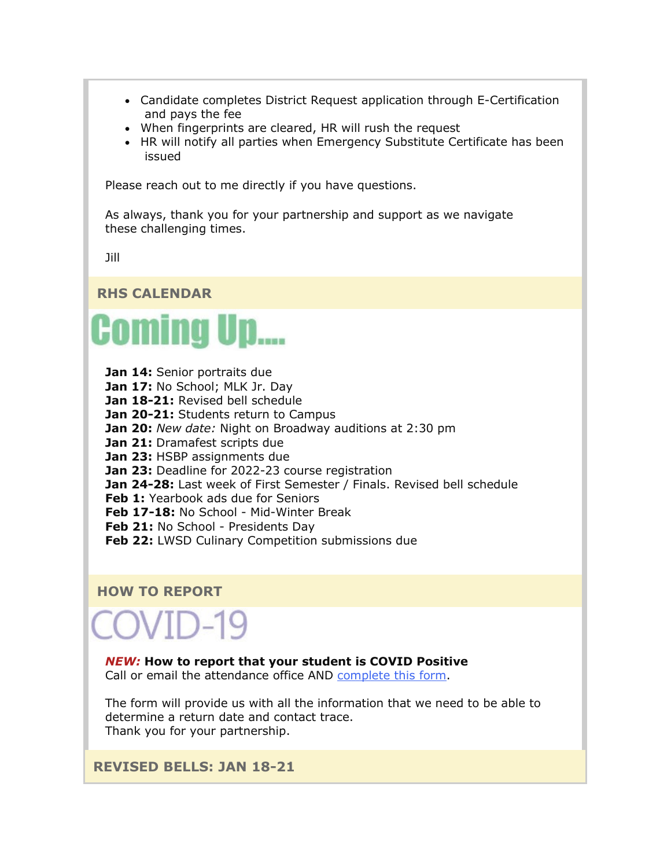- Candidate completes District Request application through E-Certification and pays the fee
- When fingerprints are cleared, HR will rush the request
- HR will notify all parties when Emergency Substitute Certificate has been issued

Please reach out to me directly if you have questions.

As always, thank you for your partnership and support as we navigate these challenging times.

Jill

**RHS CALENDAR**



- **Jan 14:** Senior portraits due
- **Jan 17:** No School; MLK Jr. Day
- Jan 18-21: Revised bell schedule
- Jan 20-21: Students return to Campus
- **Jan 20:** *New date:* Night on Broadway auditions at 2:30 pm

**Jan 21:** Dramafest scripts due

- **Jan 23:** HSBP assignments due
- **Jan 23:** Deadline for 2022-23 course registration
- **Jan 24-28:** Last week of First Semester / Finals. Revised bell schedule

**Feb 1:** Yearbook ads due for Seniors

**Feb 17-18:** No School - Mid-Winter Break

- **Feb 21: No School Presidents Day**
- **Feb 22: LWSD Culinary Competition submissions due**

### **HOW TO REPORT**

COVID-19

#### *NEW:* **How to report that your student is COVID Positive**

Call or email the attendance office AND [complete this form.](https://nam02.safelinks.protection.outlook.com/?url=http%3A%2F%2Flink.email.dynect.net%2Flink.php%3FDynEngagement%3Dtrue%26H%3DOOqfIEhTnDS349ke6cpwQyJJsnz1EIHT%252FaVku0ZQcaF2SFWFVk3NNW39KTE%252FMjezRaBEw4bA1VC7lA5wlEJw6ABIpFllooMdl8oUTtbfh2ebmaovyEjFqA%253D%253D%26G%3D0%26R%3Dhttps%253A%252F%252FHFGSGYZTANA.hatchbuck.com%252FTrackLinkClick%253FID2%253DeqwG1TukaEzUeMfHIbmu3cy21t_G3QIs6xQzDWanvNdnHFYJUVnnT_VTmDiOR7Yk0%26I%3D20220114230329.000000100947%2540smtp-ad3-48-phx%26X%3DMHwxMjY0OTIyOjI0MzAxMDgzODE7MXwxMjY0OTIzOjE5MTE1MzMzMTs%253D%26V%3D3%26S%3DtwNF1e82rfKcDTUzZ7pxr4F8Qie8gfyIZZKq2nHaxzk&data=04%7C01%7Cmwood%40lwsd.org%7C917023bcc2624ea0602808d9d7b214f2%7C1fd4673fdf9646218638a1d88c4c85d7%7C0%7C0%7C637777982145421698%7CUnknown%7CTWFpbGZsb3d8eyJWIjoiMC4wLjAwMDAiLCJQIjoiV2luMzIiLCJBTiI6Ik1haWwiLCJXVCI6Mn0%3D%7C3000&sdata=BP%2FLOHjYDurtTXc3ukWa%2BZb5hx8fsYzyRpthVgpzu6g%3D&reserved=0)

The form will provide us with all the information that we need to be able to determine a return date and contact trace. Thank you for your partnership.

**REVISED BELLS: JAN 18-21**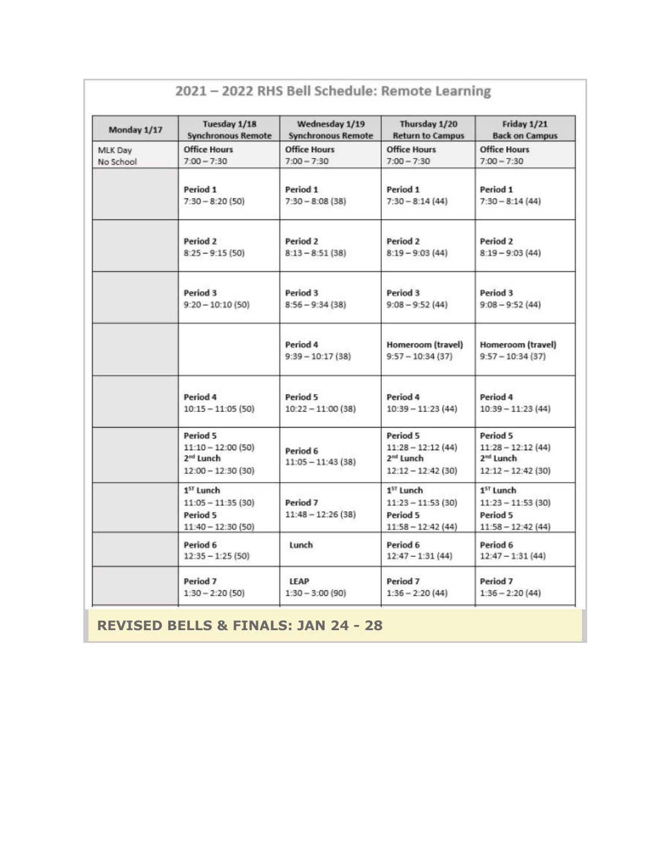| Monday 1/17          | Tuesday 1/18<br><b>Synchronous Remote</b>                                       | Wednesday 1/19<br><b>Synchronous Remote</b> | Thursday 1/20<br><b>Return to Campus</b>                                        | Friday 1/21<br><b>Back on Campus</b>                                             |
|----------------------|---------------------------------------------------------------------------------|---------------------------------------------|---------------------------------------------------------------------------------|----------------------------------------------------------------------------------|
| MLK Day<br>No School | <b>Office Hours</b><br>$7:00 - 7:30$                                            | <b>Office Hours</b><br>$7:00 - 7:30$        | <b>Office Hours</b><br>$7:00 - 7:30$                                            | <b>Office Hours</b><br>$7:00 - 7:30$                                             |
|                      | Period 1<br>$7:30 - 8:20(50)$                                                   | Period 1<br>$7:30 - 8:08(38)$               | Period 1<br>$7:30 - 8:14(44)$                                                   | Period 1<br>$7:30 - 8:14(44)$                                                    |
|                      | Period <sub>2</sub><br>$8:25 - 9:15(50)$                                        | Period 2<br>$8:13 - 8:51(38)$               | Period 2<br>$8:19 - 9:03(44)$                                                   | Period 2<br>$8:19 - 9:03(44)$                                                    |
|                      | Period 3<br>$9:20 - 10:10(50)$                                                  | Period 3<br>$8:56 - 9:34(38)$               | Period 3<br>$9:08 - 9:52(44)$                                                   | Period 3<br>$9:08 - 9:52(44)$                                                    |
|                      |                                                                                 | Period 4<br>$9:39 - 10:17(38)$              | Homeroom (travel)<br>$9:57 - 10:34(37)$                                         | Homeroom (travel)<br>$9:57 - 10:34(37)$                                          |
|                      | Period 4<br>$10:15 - 11:05(50)$                                                 | Period 5<br>$10:22 - 11:00(38)$             | Period 4<br>$10:39 - 11:23(44)$                                                 | Period 4<br>$10:39 - 11:23(44)$                                                  |
|                      | Period 5<br>$11:10 - 12:00(50)$<br>2 <sup>nd</sup> Lunch<br>$12:00 - 12:30(30)$ | Period 6<br>$11:05 - 11:43(38)$             | Period 5<br>$11:28 - 12:12(44)$<br>2 <sup>nd</sup> Lunch<br>$12:12 - 12:42(30)$ | Period 5<br>$11:28 - 12:12(44)$<br>2 <sup>nd</sup> Lunch<br>$12:12 - 12:42$ (30) |
|                      | 1 <sup>ST</sup> Lunch<br>$11:05 - 11:35(30)$<br>Period 5<br>$11:40 - 12:30(50)$ | Period <sub>7</sub><br>$11:48 - 12:26(38)$  | 1 <sup>ST</sup> Lunch<br>$11:23 - 11:53(30)$<br>Period 5<br>$11:58 - 12:42(44)$ | 1 <sup>5T</sup> Lunch<br>$11:23 - 11:53(30)$<br>Period 5<br>$11:58 - 12:42(44)$  |
|                      | Period 6<br>$12:35 - 1:25(50)$                                                  | Lunch                                       | Period 6<br>$12:47 - 1:31(44)$                                                  | Period 6<br>$12:47 - 1:31(44)$                                                   |
|                      | Period 7<br>$1:30 - 2:20(50)$                                                   | <b>LEAP</b><br>$1:30 - 3:00(90)$            | Period 7<br>$1:36 - 2:20(44)$                                                   | Period <sub>7</sub><br>$1:36 - 2:20(44)$                                         |

# 2021 - 2022 RHS Bell Schedule: Remote Learning

**REVISED BELLS & FINALS: JAN 24 - 28**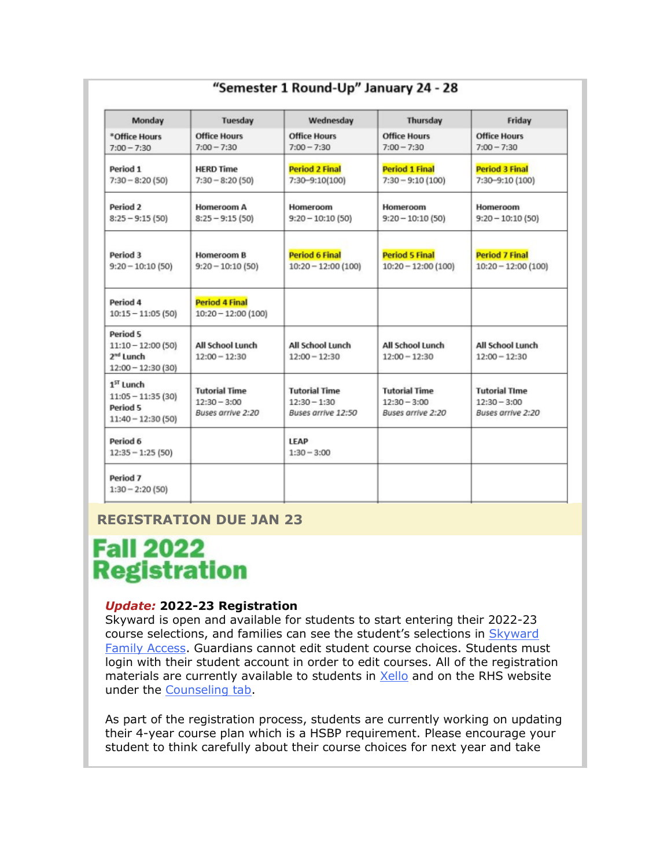| Monday                                                                          | Tuesday                                                     | Wednesday                                                    | Thursday                                                    | Friday                                                      |
|---------------------------------------------------------------------------------|-------------------------------------------------------------|--------------------------------------------------------------|-------------------------------------------------------------|-------------------------------------------------------------|
| *Office Hours<br>$7:00 - 7:30$                                                  | <b>Office Hours</b><br>$7:00 - 7:30$                        | <b>Office Hours</b><br>$7:00 - 7:30$                         | <b>Office Hours</b><br>$7:00 - 7:30$                        | <b>Office Hours</b><br>$7:00 - 7:30$                        |
| Period 1<br>$7:30 - 8:20(50)$                                                   | <b>HERD Time</b><br>$7:30 - 8:20(50)$                       | <b>Period 2 Final</b><br>7:30-9:10(100)                      | <b>Period 1 Final</b><br>$7:30 - 9:10(100)$                 | <b>Period 3 Final</b><br>7:30-9:10 (100)                    |
| Period <sub>2</sub><br>$8:25 - 9:15(50)$                                        | <b>Homeroom A</b><br>$8:25 - 9:15(50)$                      | Homeroom<br>$9:20 - 10:10(50)$                               | Homeroom<br>$9:20 - 10:10(50)$                              | Homeroom<br>$9:20 - 10:10(50)$                              |
| Period 3<br>$9:20 - 10:10(50)$                                                  | <b>Homeroom B</b><br>$9:20 - 10:10(50)$                     | <b>Period 6 Final</b><br>$10:20 - 12:00(100)$                | <b>Period 5 Final</b><br>$10:20 - 12:00(100)$               | <b>Period 7 Final</b><br>$10:20 - 12:00(100)$               |
| Period 4<br>$10:15 - 11:05(50)$                                                 | <b>Period 4 Final</b><br>$10:20 - 12:00(100)$               |                                                              |                                                             |                                                             |
| Period 5<br>$11:10 - 12:00(50)$<br>2 <sup>nd</sup> Lunch<br>$12:00 - 12:30(30)$ | All School Lunch<br>$12:00 - 12:30$                         | All School Lunch<br>$12:00 - 12:30$                          | All School Lunch<br>$12:00 - 12:30$                         | All School Lunch<br>$12:00 - 12:30$                         |
| $1ST$ Lunch<br>$11:05 - 11:35(30)$<br>Period 5<br>$11:40 - 12:30(50)$           | <b>Tutorial Time</b><br>$12:30 - 3:00$<br>Buses arrive 2:20 | <b>Tutorial Time</b><br>$12:30 - 1:30$<br>Buses arrive 12:50 | <b>Tutorial Time</b><br>$12:30 - 3:00$<br>Buses arrive 2:20 | <b>Tutorial TIme</b><br>$12:30 - 3:00$<br>Buses arrive 2:20 |
| Period 6<br>$12:35 - 1:25(50)$                                                  |                                                             | LEAP<br>$1:30 - 3:00$                                        |                                                             |                                                             |
| Period 7<br>$1:30 - 2:20(50)$                                                   |                                                             |                                                              |                                                             |                                                             |

# **REGISTRATION DUE JAN 23**

# **Fall 2022 Registration**

#### *Update:* **2022-23 Registration**

Skyward is open and available for students to start entering their 2022-23 course selections, and families can see the student's selections in [Skyward](https://nam02.safelinks.protection.outlook.com/?url=http%3A%2F%2Flink.email.dynect.net%2Flink.php%3FDynEngagement%3Dtrue%26H%3DOOqfIEhTnDS349ke6cpwQyJJsnz1EIHT%252FaVku0ZQcaF2SFWFVk3NNW39KTE%252FMjezRaBEw4bA1VC7lA5wlEJw6ABIpFllooMdl8oUTtbfh2ebmaovyEjFqA%253D%253D%26G%3D0%26R%3Dhttps%253A%252F%252FHFGSGYZTANA.hatchbuck.com%252FTrackLinkClick%253FID2%253DVY_0wukUcsjHj7mXm7Kpct1kx5Tb_C3SHJfxsgvUdmHY0mbL8sHe5HM28xB52iHD0%26I%3D20220114230329.000000100947%2540smtp-ad3-48-phx%26X%3DMHwxMjY0OTIyOjI0MzAxMDgzODE7MXwxMjY0OTIzOjE5MTE1MzMzMTs%253D%26V%3D3%26S%3Dvf4GwpC3Qm5hDXthFygxqpb3f2ug370KLa--RnUfOw8&data=04%7C01%7Cmwood%40lwsd.org%7C917023bcc2624ea0602808d9d7b214f2%7C1fd4673fdf9646218638a1d88c4c85d7%7C0%7C0%7C637777982145421698%7CUnknown%7CTWFpbGZsb3d8eyJWIjoiMC4wLjAwMDAiLCJQIjoiV2luMzIiLCJBTiI6Ik1haWwiLCJXVCI6Mn0%3D%7C3000&sdata=5YOSkfdHcsww%2FAcy2NSA%2FD2iRvFs1nCN7lJWAugyzlQ%3D&reserved=0)  [Family Access.](https://nam02.safelinks.protection.outlook.com/?url=http%3A%2F%2Flink.email.dynect.net%2Flink.php%3FDynEngagement%3Dtrue%26H%3DOOqfIEhTnDS349ke6cpwQyJJsnz1EIHT%252FaVku0ZQcaF2SFWFVk3NNW39KTE%252FMjezRaBEw4bA1VC7lA5wlEJw6ABIpFllooMdl8oUTtbfh2ebmaovyEjFqA%253D%253D%26G%3D0%26R%3Dhttps%253A%252F%252FHFGSGYZTANA.hatchbuck.com%252FTrackLinkClick%253FID2%253DVY_0wukUcsjHj7mXm7Kpct1kx5Tb_C3SHJfxsgvUdmHY0mbL8sHe5HM28xB52iHD0%26I%3D20220114230329.000000100947%2540smtp-ad3-48-phx%26X%3DMHwxMjY0OTIyOjI0MzAxMDgzODE7MXwxMjY0OTIzOjE5MTE1MzMzMTs%253D%26V%3D3%26S%3Dvf4GwpC3Qm5hDXthFygxqpb3f2ug370KLa--RnUfOw8&data=04%7C01%7Cmwood%40lwsd.org%7C917023bcc2624ea0602808d9d7b214f2%7C1fd4673fdf9646218638a1d88c4c85d7%7C0%7C0%7C637777982145421698%7CUnknown%7CTWFpbGZsb3d8eyJWIjoiMC4wLjAwMDAiLCJQIjoiV2luMzIiLCJBTiI6Ik1haWwiLCJXVCI6Mn0%3D%7C3000&sdata=5YOSkfdHcsww%2FAcy2NSA%2FD2iRvFs1nCN7lJWAugyzlQ%3D&reserved=0) Guardians cannot edit student course choices. Students must login with their student account in order to edit courses. All of the registration materials are currently available to students in [Xello](https://nam02.safelinks.protection.outlook.com/?url=http%3A%2F%2Flink.email.dynect.net%2Flink.php%3FDynEngagement%3Dtrue%26H%3DOOqfIEhTnDS349ke6cpwQyJJsnz1EIHT%252FaVku0ZQcaF2SFWFVk3NNW39KTE%252FMjezRaBEw4bA1VC7lA5wlEJw6ABIpFllooMdl8oUTtbfh2ebmaovyEjFqA%253D%253D%26G%3D0%26R%3Dhttps%253A%252F%252FHFGSGYZTANA.hatchbuck.com%252FTrackLinkClick%253FID2%253DF1GOqcsMotYaGknOPCTxnHbTH57BzPY02fDaUrDUmrbWSYtyoN_aFqU1z5NegTe40%26I%3D20220114230329.000000100947%2540smtp-ad3-48-phx%26X%3DMHwxMjY0OTIyOjI0MzAxMDgzODE7MXwxMjY0OTIzOjE5MTE1MzMzMTs%253D%26V%3D3%26S%3Db10_ZDK2iV40ELqZuH1LHnpVpEdT9f1wdqfUU0a_k6g&data=04%7C01%7Cmwood%40lwsd.org%7C917023bcc2624ea0602808d9d7b214f2%7C1fd4673fdf9646218638a1d88c4c85d7%7C0%7C0%7C637777982145421698%7CUnknown%7CTWFpbGZsb3d8eyJWIjoiMC4wLjAwMDAiLCJQIjoiV2luMzIiLCJBTiI6Ik1haWwiLCJXVCI6Mn0%3D%7C3000&sdata=LDmWNhOG2IRYwImjDonsPwl0HE5cGDHjQjwLtxMi%2BhU%3D&reserved=0) and on the RHS website under the [Counseling tab.](https://nam02.safelinks.protection.outlook.com/?url=http%3A%2F%2Flink.email.dynect.net%2Flink.php%3FDynEngagement%3Dtrue%26H%3DOOqfIEhTnDS349ke6cpwQyJJsnz1EIHT%252FaVku0ZQcaF2SFWFVk3NNW39KTE%252FMjezRaBEw4bA1VC7lA5wlEJw6ABIpFllooMdl8oUTtbfh2ebmaovyEjFqA%253D%253D%26G%3D0%26R%3Dhttps%253A%252F%252FHFGSGYZTANA.hatchbuck.com%252FTrackLinkClick%253FID2%253DYqR2s0T_bSFsWo3OwDILaxCOU7LEPeKSWVwCu14gO7Cg8FZaAQwvp7Pn-4KvgDLE0%26I%3D20220114230329.000000100947%2540smtp-ad3-48-phx%26X%3DMHwxMjY0OTIyOjI0MzAxMDgzODE7MXwxMjY0OTIzOjE5MTE1MzMzMTs%253D%26V%3D3%26S%3DClFgkP2RIm4SB-TzJ74dabwHAimt_UAez07v6KtOmv4&data=04%7C01%7Cmwood%40lwsd.org%7C917023bcc2624ea0602808d9d7b214f2%7C1fd4673fdf9646218638a1d88c4c85d7%7C0%7C0%7C637777982145421698%7CUnknown%7CTWFpbGZsb3d8eyJWIjoiMC4wLjAwMDAiLCJQIjoiV2luMzIiLCJBTiI6Ik1haWwiLCJXVCI6Mn0%3D%7C3000&sdata=UM7xgXlZLtoGFeyN4%2FT1ZhqlKfKUEq8CS5t6BLYPeF0%3D&reserved=0)

As part of the registration process, students are currently working on updating their 4-year course plan which is a HSBP requirement. Please encourage your student to think carefully about their course choices for next year and take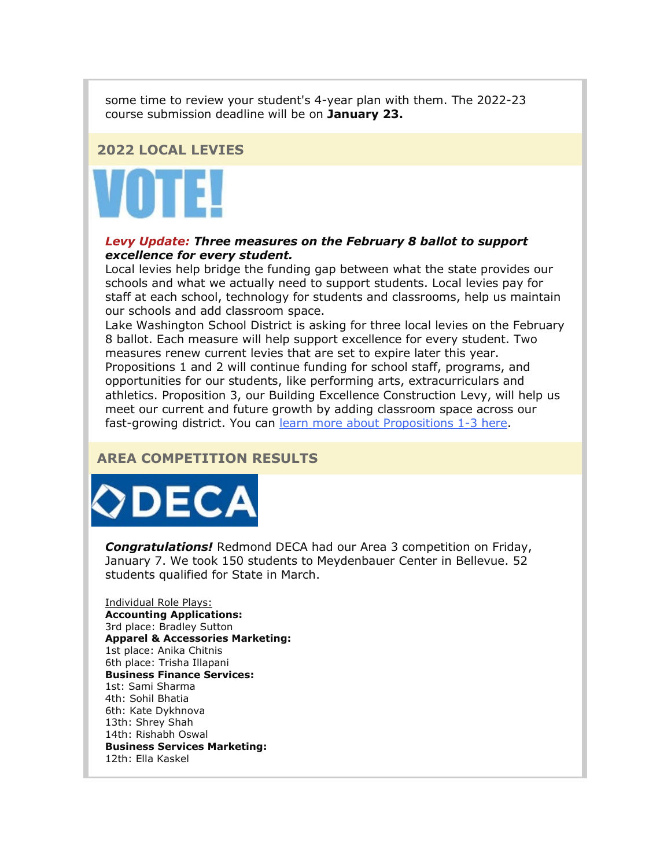some time to review your student's 4-year plan with them. The 2022-23 course submission deadline will be on **January 23.**

#### **2022 LOCAL LEVIES**



#### *Levy Update: Three measures on the February 8 ballot to support excellence for every student.*

Local levies help bridge the funding gap between what the state provides our schools and what we actually need to support students. Local levies pay for staff at each school, technology for students and classrooms, help us maintain our schools and add classroom space.

Lake Washington School District is asking for three local levies on the February 8 ballot. Each measure will help support excellence for every student. Two measures renew current levies that are set to expire later this year. Propositions 1 and 2 will continue funding for school staff, programs, and opportunities for our students, like performing arts, extracurriculars and athletics. Proposition 3, our Building Excellence Construction Levy, will help us meet our current and future growth by adding classroom space across our fast-growing district. You can [learn more about Propositions 1-3 here.](https://nam02.safelinks.protection.outlook.com/?url=http%3A%2F%2Flink.email.dynect.net%2Flink.php%3FDynEngagement%3Dtrue%26H%3DOOqfIEhTnDS349ke6cpwQyJJsnz1EIHT%252FaVku0ZQcaF2SFWFVk3NNW39KTE%252FMjezRaBEw4bA1VC7lA5wlEJw6ABIpFllooMdl8oUTtbfh2ebmaovyEjFqA%253D%253D%26G%3D0%26R%3Dhttps%253A%252F%252FHFGSGYZTANA.hatchbuck.com%252FTrackLinkClick%253FID2%253DndCekfMQlera5ZJxLG2V4P2uGMOScHY4QAUWQoj89DVSeXJfjfVsBs1VQDGxO3Xu0%26I%3D20220114230329.000000100947%2540smtp-ad3-48-phx%26X%3DMHwxMjY0OTIyOjI0MzAxMDgzODE7MXwxMjY0OTIzOjE5MTE1MzMzMTs%253D%26V%3D3%26S%3D3wdzJPP-yRpsX5fESJA976F9GfxuGMQcFg-k79fuJ4E&data=04%7C01%7Cmwood%40lwsd.org%7C917023bcc2624ea0602808d9d7b214f2%7C1fd4673fdf9646218638a1d88c4c85d7%7C0%7C0%7C637777982145421698%7CUnknown%7CTWFpbGZsb3d8eyJWIjoiMC4wLjAwMDAiLCJQIjoiV2luMzIiLCJBTiI6Ik1haWwiLCJXVCI6Mn0%3D%7C3000&sdata=xYcyblYRfDaSwocQTvL2gNswsv3XgayEPwFWczEjkgY%3D&reserved=0)

# **AREA COMPETITION RESULTS**



*Congratulations!* Redmond DECA had our Area 3 competition on Friday, January 7. We took 150 students to Meydenbauer Center in Bellevue. 52 students qualified for State in March.

Individual Role Plays: **Accounting Applications:** 3rd place: Bradley Sutton **Apparel & Accessories Marketing:** 1st place: Anika Chitnis 6th place: Trisha Illapani **Business Finance Services:** 1st: Sami Sharma 4th: Sohil Bhatia 6th: Kate Dykhnova 13th: Shrey Shah 14th: Rishabh Oswal **Business Services Marketing:** 12th: Ella Kaskel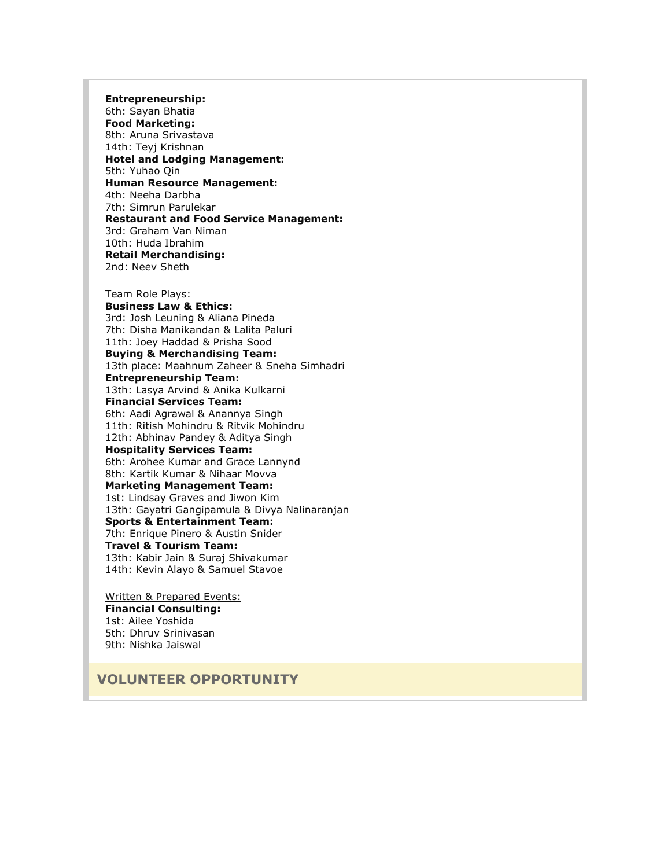**Entrepreneurship:** 6th: Sayan Bhatia **Food Marketing:** 8th: Aruna Srivastava 14th: Teyj Krishnan **Hotel and Lodging Management:** 5th: Yuhao Qin **Human Resource Management:** 4th: Neeha Darbha 7th: Simrun Parulekar **Restaurant and Food Service Management:** 3rd: Graham Van Niman 10th: Huda Ibrahim **Retail Merchandising:** 2nd: Neev Sheth

Team Role Plays: **Business Law & Ethics:** 3rd: Josh Leuning & Aliana Pineda 7th: Disha Manikandan & Lalita Paluri 11th: Joey Haddad & Prisha Sood **Buying & Merchandising Team:** 13th place: Maahnum Zaheer & Sneha Simhadri **Entrepreneurship Team:** 13th: Lasya Arvind & Anika Kulkarni **Financial Services Team:** 6th: Aadi Agrawal & Anannya Singh 11th: Ritish Mohindru & Ritvik Mohindru 12th: Abhinav Pandey & Aditya Singh **Hospitality Services Team:** 6th: Arohee Kumar and Grace Lannynd 8th: Kartik Kumar & Nihaar Movva **Marketing Management Team:** 1st: Lindsay Graves and Jiwon Kim 13th: Gayatri Gangipamula & Divya Nalinaranjan **Sports & Entertainment Team:** 7th: Enrique Pinero & Austin Snider **Travel & Tourism Team:** 13th: Kabir Jain & Suraj Shivakumar 14th: Kevin Alayo & Samuel Stavoe

Written & Prepared Events: **Financial Consulting:** 1st: Ailee Yoshida 5th: Dhruv Srinivasan 9th: Nishka Jaiswal

**VOLUNTEER OPPORTUNITY**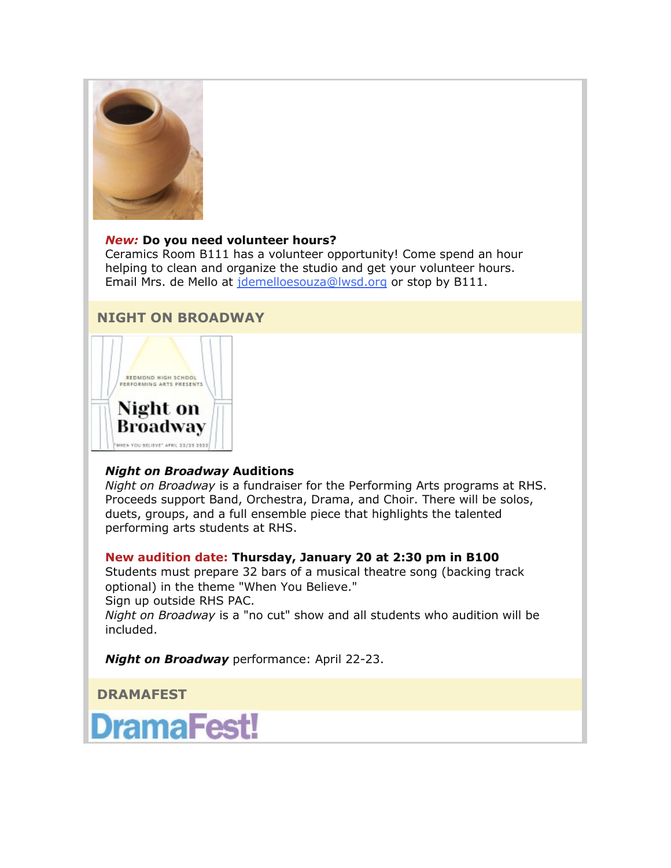

#### *New:* **Do you need volunteer hours?**

Ceramics Room B111 has a volunteer opportunity! Come spend an hour helping to clean and organize the studio and get your volunteer hours. Email Mrs. de Mello at *[jdemelloesouza@lwsd.org](mailto:jdemelloesouza@lwsd.org)* or stop by B111.

### **NIGHT ON BROADWAY**



#### *Night on Broadway* **Auditions**

*Night on Broadway* is a fundraiser for the Performing Arts programs at RHS. Proceeds support Band, Orchestra, Drama, and Choir. There will be solos, duets, groups, and a full ensemble piece that highlights the talented performing arts students at RHS.

#### **New audition date: Thursday, January 20 at 2:30 pm in B100**

Students must prepare 32 bars of a musical theatre song (backing track optional) in the theme "When You Believe."

Sign up outside RHS PAC.

*Night on Broadway* is a "no cut" show and all students who audition will be included.

*Night on Broadway* performance: April 22-23.

**DRAMAFEST**

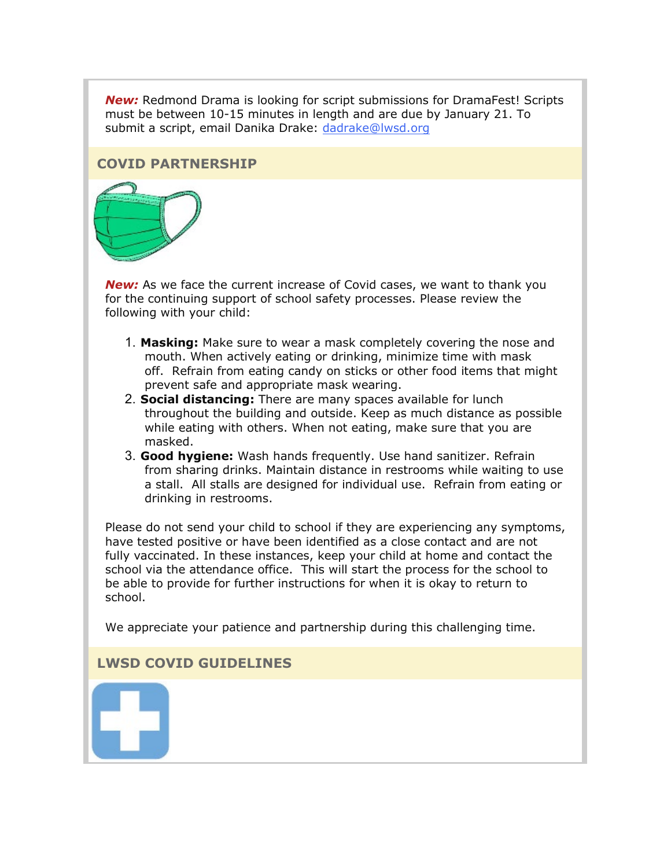*New:* Redmond Drama is looking for script submissions for DramaFest! Scripts must be between 10-15 minutes in length and are due by January 21. To submit a script, email Danika Drake: [dadrake@lwsd.org](mailto:dadrake@lwsd.org)

#### **COVID PARTNERSHIP**



*New:* As we face the current increase of Covid cases, we want to thank you for the continuing support of school safety processes. Please review the following with your child:

- 1. **Masking:** Make sure to wear a mask completely covering the nose and mouth. When actively eating or drinking, minimize time with mask off. Refrain from eating candy on sticks or other food items that might prevent safe and appropriate mask wearing.
- 2. **Social distancing:** There are many spaces available for lunch throughout the building and outside. Keep as much distance as possible while eating with others. When not eating, make sure that you are masked.
- 3. **Good hygiene:** Wash hands frequently. Use hand sanitizer. Refrain from sharing drinks. Maintain distance in restrooms while waiting to use a stall. All stalls are designed for individual use. Refrain from eating or drinking in restrooms.

Please do not send your child to school if they are experiencing any symptoms, have tested positive or have been identified as a close contact and are not fully vaccinated. In these instances, keep your child at home and contact the school via the attendance office. This will start the process for the school to be able to provide for further instructions for when it is okay to return to school.

We appreciate your patience and partnership during this challenging time.

### **LWSD COVID GUIDELINES**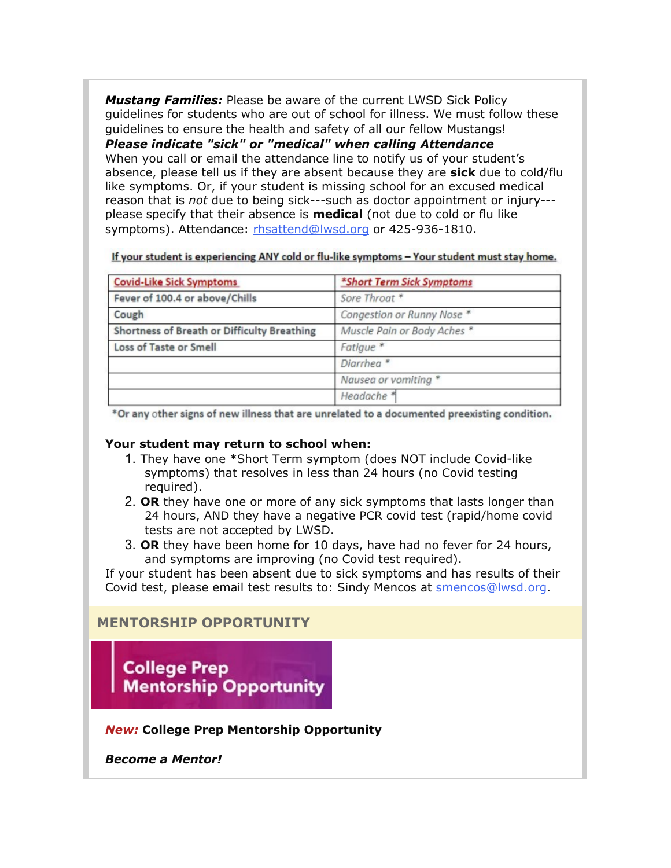*Mustang Families:* Please be aware of the current LWSD Sick Policy guidelines for students who are out of school for illness. We must follow these guidelines to ensure the health and safety of all our fellow Mustangs! *Please indicate "sick" or "medical" when calling Attendance* When you call or email the attendance line to notify us of your student's absence, please tell us if they are absent because they are **sick** due to cold/flu like symptoms. Or, if your student is missing school for an excused medical reason that is *not* due to being sick---such as doctor appointment or injury-- please specify that their absence is **medical** (not due to cold or flu like symptoms). Attendance: [rhsattend@lwsd.org](mailto:rhsattend@lwsd.org) or 425-936-1810.

If your student is experiencing ANY cold or flu-like symptoms - Your student must stay home.

| <b>Covid-Like Sick Symptoms</b>             | *Short Term Sick Symptoms   |
|---------------------------------------------|-----------------------------|
| Fever of 100.4 or above/Chills              | Sore Throat *               |
| Cough                                       | Congestion or Runny Nose *  |
| Shortness of Breath or Difficulty Breathing | Muscle Pain or Body Aches * |
| Loss of Taste or Smell                      | Fatigue <sup>*</sup>        |
|                                             | Diarrhea <sup>*</sup>       |
|                                             | Nausea or vomiting *        |
|                                             | Headache <sup>*</sup>       |

\*Or any other signs of new illness that are unrelated to a documented preexisting condition.

#### **Your student may return to school when:**

- 1. They have one \*Short Term symptom (does NOT include Covid-like symptoms) that resolves in less than 24 hours (no Covid testing required).
- 2. **OR** they have one or more of any sick symptoms that lasts longer than 24 hours, AND they have a negative PCR covid test (rapid/home covid tests are not accepted by LWSD.
- 3. **OR** they have been home for 10 days, have had no fever for 24 hours, and symptoms are improving (no Covid test required).

If your student has been absent due to sick symptoms and has results of their Covid test, please email test results to: Sindy Mencos at [smencos@lwsd.org.](mailto:smencos@lwsd.org)

### **MENTORSHIP OPPORTUNITY**

**College Prep Mentorship Opportunity** 

### *New:* **College Prep Mentorship Opportunity**

*Become a Mentor!*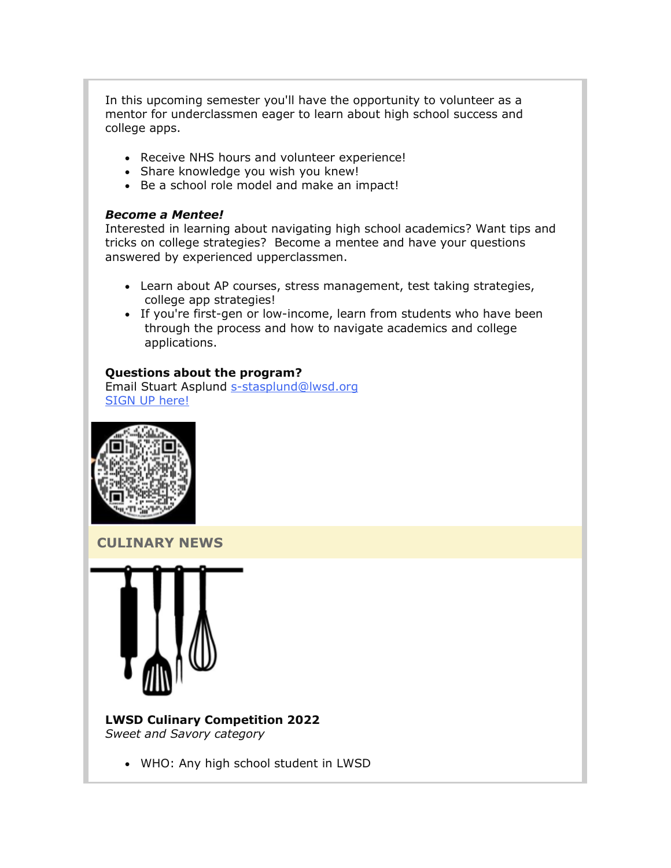In this upcoming semester you'll have the opportunity to volunteer as a mentor for underclassmen eager to learn about high school success and college apps.

- Receive NHS hours and volunteer experience!
- Share knowledge you wish you knew!
- Be a school role model and make an impact!

#### *Become a Mentee!*

Interested in learning about navigating high school academics? Want tips and tricks on college strategies? Become a mentee and have your questions answered by experienced upperclassmen.

- Learn about AP courses, stress management, test taking strategies, college app strategies!
- If you're first-gen or low-income, learn from students who have been through the process and how to navigate academics and college applications.

#### **Questions about the program?**

Email Stuart Asplund [s-stasplund@lwsd.org](mailto:s-STASPLUND@lwsd.org)  [SIGN UP here!](https://nam02.safelinks.protection.outlook.com/?url=http%3A%2F%2Flink.email.dynect.net%2Flink.php%3FDynEngagement%3Dtrue%26H%3DOOqfIEhTnDS349ke6cpwQyJJsnz1EIHT%252FaVku0ZQcaF2SFWFVk3NNW39KTE%252FMjezRaBEw4bA1VC7lA5wlEJw6ABIpFllooMdl8oUTtbfh2ebmaovyEjFqA%253D%253D%26G%3D0%26R%3Dhttps%253A%252F%252FHFGSGYZTANA.hatchbuck.com%252FTrackLinkClick%253FID2%253DVY8hIBKwbO9BR3Em9rR_w1tTGwgMpGHfl_DmrKn89Ml0P1WYDUT853uspOadCVDT0%26I%3D20220114230329.000000100947%2540smtp-ad3-48-phx%26X%3DMHwxMjY0OTIyOjI0MzAxMDgzODE7MXwxMjY0OTIzOjE5MTE1MzMzMTs%253D%26V%3D3%26S%3DVEJuQlDeSHdTP-uQhzJKEw8Yrh6oxQLxVg74_BxGrIc&data=04%7C01%7Cmwood%40lwsd.org%7C917023bcc2624ea0602808d9d7b214f2%7C1fd4673fdf9646218638a1d88c4c85d7%7C0%7C0%7C637777982145421698%7CUnknown%7CTWFpbGZsb3d8eyJWIjoiMC4wLjAwMDAiLCJQIjoiV2luMzIiLCJBTiI6Ik1haWwiLCJXVCI6Mn0%3D%7C3000&sdata=06zU5%2FQvJM8Yy1S2UZLKuml8CEP2BOTOelgcBvjwX2Y%3D&reserved=0)



**CULINARY NEWS**



#### **LWSD Culinary Competition 2022** *Sweet and Savory category*

• WHO: Any high school student in LWSD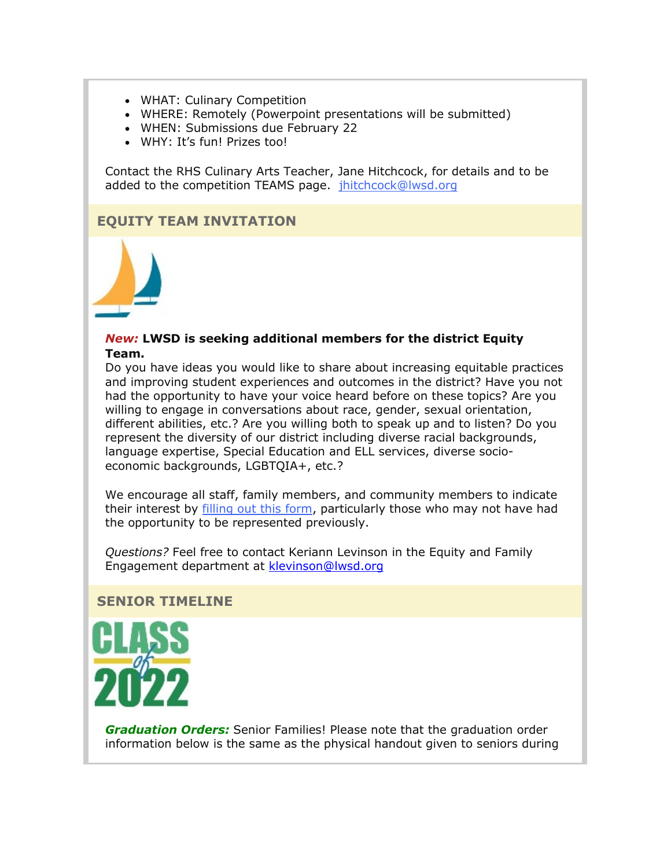- WHAT: Culinary Competition
- WHERE: Remotely (Powerpoint presentations will be submitted)
- WHEN: Submissions due February 22
- WHY: It's fun! Prizes too!

Contact the RHS Culinary Arts Teacher, Jane Hitchcock, for details and to be added to the competition TEAMS page. [jhitchcock@lwsd.org](mailto:jhitchcock@lwsd.org)

# **EQUITY TEAM INVITATION**



#### *New:* **LWSD is seeking additional members for the district Equity Team.**

Do you have ideas you would like to share about increasing equitable practices and improving student experiences and outcomes in the district? Have you not had the opportunity to have your voice heard before on these topics? Are you willing to engage in conversations about race, gender, sexual orientation, different abilities, etc.? Are you willing both to speak up and to listen? Do you represent the diversity of our district including diverse racial backgrounds, language expertise, Special Education and ELL services, diverse socioeconomic backgrounds, LGBTQIA+, etc.?

We encourage all staff, family members, and community members to indicate their interest by [filling out this form,](https://nam02.safelinks.protection.outlook.com/?url=http%3A%2F%2Flink.email.dynect.net%2Flink.php%3FDynEngagement%3Dtrue%26H%3DOOqfIEhTnDS349ke6cpwQyJJsnz1EIHT%252FaVku0ZQcaF2SFWFVk3NNW39KTE%252FMjezRaBEw4bA1VC7lA5wlEJw6ABIpFllooMdl8oUTtbfh2ebmaovyEjFqA%253D%253D%26G%3D0%26R%3Dhttps%253A%252F%252FHFGSGYZTANA.hatchbuck.com%252FTrackLinkClick%253FID2%253DFEyGhrDaS6SX7L9b1eD_9libWYMOQHeaH2jL04cR_7JvM1UBAwPjNsKJMtr8FxqX0%26I%3D20220114230329.000000100947%2540smtp-ad3-48-phx%26X%3DMHwxMjY0OTIyOjI0MzAxMDgzODE7MXwxMjY0OTIzOjE5MTE1MzMzMTs%253D%26V%3D3%26S%3D5wjWzBvHua08iCK0T7lpO0wm7mBShs3sQBo4qtag0H4&data=04%7C01%7Cmwood%40lwsd.org%7C917023bcc2624ea0602808d9d7b214f2%7C1fd4673fdf9646218638a1d88c4c85d7%7C0%7C0%7C637777982145421698%7CUnknown%7CTWFpbGZsb3d8eyJWIjoiMC4wLjAwMDAiLCJQIjoiV2luMzIiLCJBTiI6Ik1haWwiLCJXVCI6Mn0%3D%7C3000&sdata=kyKg67DMJTdVIXpmlESpwWFJoUk5sHw6ahhuid%2FQxK4%3D&reserved=0) particularly those who may not have had the opportunity to be represented previously.

*Questions?* Feel free to contact Keriann Levinson in the Equity and Family Engagement department at [klevinson@lwsd.org](mailto:klevinson@lwsd.org)

#### **SENIOR TIMELINE**



*Graduation Orders:* Senior Families! Please note that the graduation order information below is the same as the physical handout given to seniors during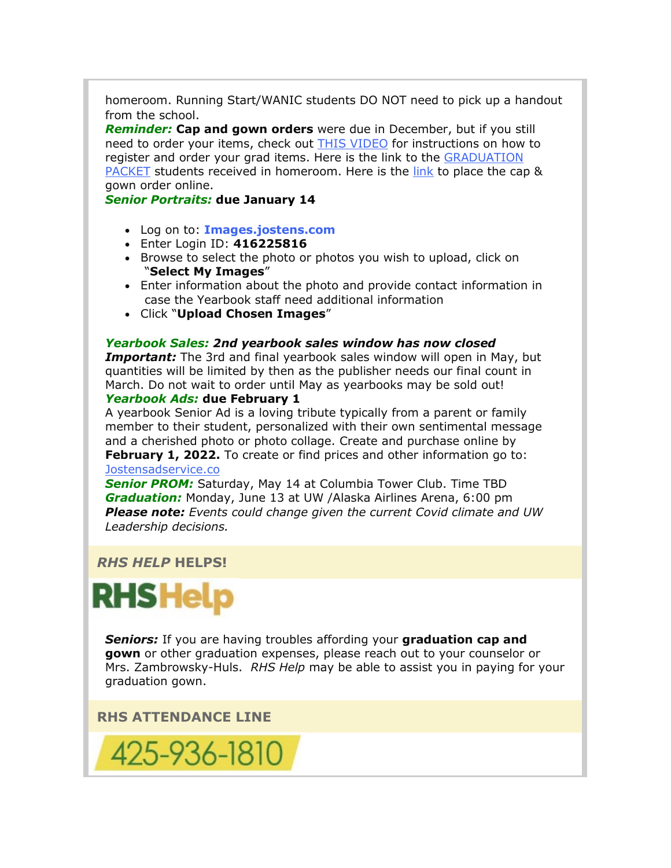homeroom. Running Start/WANIC students DO NOT need to pick up a handout from the school.

*Reminder:* **Cap and gown orders** were due in December, but if you still need to order your items, check out [THIS VIDEO](https://nam02.safelinks.protection.outlook.com/?url=http%3A%2F%2Flink.email.dynect.net%2Flink.php%3FDynEngagement%3Dtrue%26H%3DOOqfIEhTnDS349ke6cpwQyJJsnz1EIHT%252FaVku0ZQcaF2SFWFVk3NNW39KTE%252FMjezRaBEw4bA1VC7lA5wlEJw6ABIpFllooMdl8oUTtbfh2ebmaovyEjFqA%253D%253D%26G%3D0%26R%3Dhttps%253A%252F%252FHFGSGYZTANA.hatchbuck.com%252FTrackLinkClick%253FID2%253DWykOn_Hjit3CMV7WqrwDpPb8AtB1_DmrBbIO2hFhtYeBJgnLgtKYmamKW02E9RUv0%26I%3D20220114230329.000000100947%2540smtp-ad3-48-phx%26X%3DMHwxMjY0OTIyOjI0MzAxMDgzODE7MXwxMjY0OTIzOjE5MTE1MzMzMTs%253D%26V%3D3%26S%3D3McrUGowHhXAsqncKxKEiHNfZPmyu4fejRqypzK8Pu0&data=04%7C01%7Cmwood%40lwsd.org%7C917023bcc2624ea0602808d9d7b214f2%7C1fd4673fdf9646218638a1d88c4c85d7%7C0%7C0%7C637777982145421698%7CUnknown%7CTWFpbGZsb3d8eyJWIjoiMC4wLjAwMDAiLCJQIjoiV2luMzIiLCJBTiI6Ik1haWwiLCJXVCI6Mn0%3D%7C3000&sdata=v%2BN85Qtz5dfUrPvB8xEo467A5yJz2cL4zDrbPgcsY3k%3D&reserved=0) for instructions on how to register and order your grad items. Here is the link to the GRADUATION [PACKET](https://nam02.safelinks.protection.outlook.com/?url=http%3A%2F%2Flink.email.dynect.net%2Flink.php%3FDynEngagement%3Dtrue%26H%3DOOqfIEhTnDS349ke6cpwQyJJsnz1EIHT%252FaVku0ZQcaF2SFWFVk3NNW39KTE%252FMjezRaBEw4bA1VC7lA5wlEJw6ABIpFllooMdl8oUTtbfh2ebmaovyEjFqA%253D%253D%26G%3D0%26R%3Dhttps%253A%252F%252FHFGSGYZTANA.hatchbuck.com%252FTrackLinkClick%253FID2%253D8o_4Kll-ZqzyFWxp7rBw0QRHluutTDt1rciOXVqo4i4K9GZr51c0TTNgHfqULP2V0%26I%3D20220114230329.000000100947%2540smtp-ad3-48-phx%26X%3DMHwxMjY0OTIyOjI0MzAxMDgzODE7MXwxMjY0OTIzOjE5MTE1MzMzMTs%253D%26V%3D3%26S%3Dab9CJH-onu5pB5lqE-UvRd9UKsGV1iZUkrvZqzMfbjY&data=04%7C01%7Cmwood%40lwsd.org%7C917023bcc2624ea0602808d9d7b214f2%7C1fd4673fdf9646218638a1d88c4c85d7%7C0%7C0%7C637777982145421698%7CUnknown%7CTWFpbGZsb3d8eyJWIjoiMC4wLjAwMDAiLCJQIjoiV2luMzIiLCJBTiI6Ik1haWwiLCJXVCI6Mn0%3D%7C3000&sdata=armuOhhGFcC%2BxHD%2BJkr1YTcqPF%2FdH%2Ba3zbQ510k6bsU%3D&reserved=0) students received in homeroom. Here is the [link](https://nam02.safelinks.protection.outlook.com/?url=http%3A%2F%2Flink.email.dynect.net%2Flink.php%3FDynEngagement%3Dtrue%26H%3DOOqfIEhTnDS349ke6cpwQyJJsnz1EIHT%252FaVku0ZQcaF2SFWFVk3NNW39KTE%252FMjezRaBEw4bA1VC7lA5wlEJw6ABIpFllooMdl8oUTtbfh2ebmaovyEjFqA%253D%253D%26G%3D0%26R%3Dhttps%253A%252F%252FHFGSGYZTANA.hatchbuck.com%252FTrackLinkClick%253FID2%253DUqd8CvpY80rCcDjhMmblZZoBeo7tOb616XixYGOZpHrWcGQGx7hAtsF6yvfiyaQf0%26I%3D20220114230329.000000100947%2540smtp-ad3-48-phx%26X%3DMHwxMjY0OTIyOjI0MzAxMDgzODE7MXwxMjY0OTIzOjE5MTE1MzMzMTs%253D%26V%3D3%26S%3DmGSY0mOlb4ndWCQlGQo2BiapSnLD12Ra82WHui2vfrQ&data=04%7C01%7Cmwood%40lwsd.org%7C917023bcc2624ea0602808d9d7b214f2%7C1fd4673fdf9646218638a1d88c4c85d7%7C0%7C0%7C637777982145421698%7CUnknown%7CTWFpbGZsb3d8eyJWIjoiMC4wLjAwMDAiLCJQIjoiV2luMzIiLCJBTiI6Ik1haWwiLCJXVCI6Mn0%3D%7C3000&sdata=eQx0l4SZm9insrYaJeg07cj2%2BNwgmKPtUUYxAaThOh0%3D&reserved=0) to place the cap & gown order online.

*Senior Portraits:* **due January 14**

- Log on to: **[Images.jostens.com](https://nam02.safelinks.protection.outlook.com/?url=http%3A%2F%2Flink.email.dynect.net%2Flink.php%3FDynEngagement%3Dtrue%26H%3DOOqfIEhTnDS349ke6cpwQyJJsnz1EIHT%252FaVku0ZQcaF2SFWFVk3NNW39KTE%252FMjezRaBEw4bA1VC7lA5wlEJw6ABIpFllooMdl8oUTtbfh2ebmaovyEjFqA%253D%253D%26G%3D0%26R%3Dhttps%253A%252F%252FHFGSGYZTANA.hatchbuck.com%252FTrackLinkClick%253FID2%253D2B6HviRFe87j0oQtLpHIjUaDAgVjrlWu2uR-8DPKa1Q79hyde2k0E74m4Gp4JH8J0%26I%3D20220114230329.000000100947%2540smtp-ad3-48-phx%26X%3DMHwxMjY0OTIyOjI0MzAxMDgzODE7MXwxMjY0OTIzOjE5MTE1MzMzMTs%253D%26V%3D3%26S%3DIn8vZwH15mqkvyjeNtyRzvA5aCsEt2yXF0GYCFHmqX4&data=04%7C01%7Cmwood%40lwsd.org%7C917023bcc2624ea0602808d9d7b214f2%7C1fd4673fdf9646218638a1d88c4c85d7%7C0%7C0%7C637777982145421698%7CUnknown%7CTWFpbGZsb3d8eyJWIjoiMC4wLjAwMDAiLCJQIjoiV2luMzIiLCJBTiI6Ik1haWwiLCJXVCI6Mn0%3D%7C3000&sdata=vDukpKb6vRQs4ojQImutxkRDRnivHS1Yf9p3VT4EQnA%3D&reserved=0)**
- Enter Login ID: **416225816**
- Browse to select the photo or photos you wish to upload, click on "**Select My Images**"
- Enter information about the photo and provide contact information in case the Yearbook staff need additional information
- Click "**Upload Chosen Images**"

#### *Yearbook Sales: 2nd yearbook sales window has now closed*

*Important:* The 3rd and final yearbook sales window will open in May, but quantities will be limited by then as the publisher needs our final count in March. Do not wait to order until May as yearbooks may be sold out! *Yearbook Ads:* **due February 1**

A yearbook Senior Ad is a loving tribute typically from a parent or family member to their student, personalized with their own sentimental message and a cherished photo or photo collage. Create and purchase online by **February 1, 2022.** To create or find prices and other information go to: [Jostensadservice.co](https://nam02.safelinks.protection.outlook.com/?url=http%3A%2F%2Flink.email.dynect.net%2Flink.php%3FDynEngagement%3Dtrue%26H%3DOOqfIEhTnDS349ke6cpwQyJJsnz1EIHT%252FaVku0ZQcaF2SFWFVk3NNW39KTE%252FMjezRaBEw4bA1VC7lA5wlEJw6ABIpFllooMdl8oUTtbfh2ebmaovyEjFqA%253D%253D%26G%3D0%26R%3Dhttps%253A%252F%252FHFGSGYZTANA.hatchbuck.com%252FTrackLinkClick%253FID2%253DbvBF8py9bNLOr3kVB54cX4veoawjwosvDvcbPRN7SU6AjUlaOqwWkmw79yA2EO_J0%26I%3D20220114230329.000000100947%2540smtp-ad3-48-phx%26X%3DMHwxMjY0OTIyOjI0MzAxMDgzODE7MXwxMjY0OTIzOjE5MTE1MzMzMTs%253D%26V%3D3%26S%3Dwq7EzjQf95AO81bt3kbxWzcbr3UCl6SyggvU9wO2MeI&data=04%7C01%7Cmwood%40lwsd.org%7C917023bcc2624ea0602808d9d7b214f2%7C1fd4673fdf9646218638a1d88c4c85d7%7C0%7C0%7C637777982145421698%7CUnknown%7CTWFpbGZsb3d8eyJWIjoiMC4wLjAwMDAiLCJQIjoiV2luMzIiLCJBTiI6Ik1haWwiLCJXVCI6Mn0%3D%7C3000&sdata=QBURvAbDZUSuJrWV5KJevidxGPdCB0UIo1hNqBkhhZo%3D&reserved=0)

*Senior PROM:* Saturday, May 14 at Columbia Tower Club. Time TBD *Graduation:* Monday, June 13 at UW /Alaska Airlines Arena, 6:00 pm *Please note: Events could change given the current Covid climate and UW Leadership decisions.* 

### *RHS HELP* **HELPS!**



*Seniors:* If you are having troubles affording your **graduation cap and gown** or other graduation expenses, please reach out to your counselor or Mrs. Zambrowsky-Huls. *RHS Help* may be able to assist you in paying for your graduation gown.

**RHS ATTENDANCE LINE**

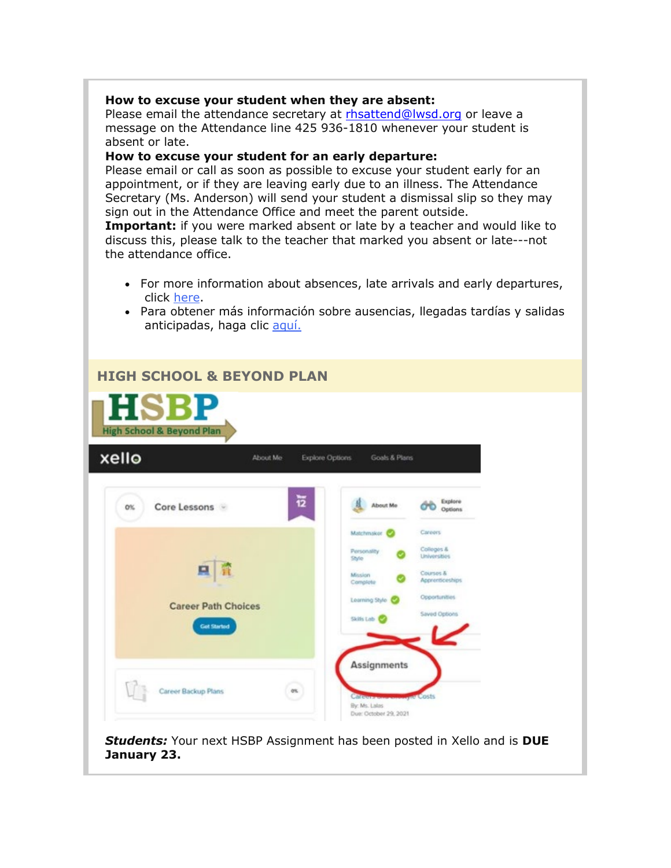#### **How to excuse your student when they are absent:**

Please email the attendance secretary at [rhsattend@lwsd.org](mailto:rhsattend@lwsd.org) or leave a message on the Attendance line 425 936-1810 whenever your student is absent or late.

#### **How to excuse your student for an early departure:**

Please email or call as soon as possible to excuse your student early for an appointment, or if they are leaving early due to an illness. The Attendance Secretary (Ms. Anderson) will send your student a dismissal slip so they may sign out in the Attendance Office and meet the parent outside.

**Important:** if you were marked absent or late by a teacher and would like to discuss this, please talk to the teacher that marked you absent or late---not the attendance office.

- For more information about absences, late arrivals and early departures, click [here.](https://nam02.safelinks.protection.outlook.com/?url=http%3A%2F%2Flink.email.dynect.net%2Flink.php%3FDynEngagement%3Dtrue%26H%3DOOqfIEhTnDS349ke6cpwQyJJsnz1EIHT%252FaVku0ZQcaF2SFWFVk3NNW39KTE%252FMjezRaBEw4bA1VC7lA5wlEJw6ABIpFllooMdl8oUTtbfh2ebmaovyEjFqA%253D%253D%26G%3D0%26R%3Dhttps%253A%252F%252FHFGSGYZTANA.hatchbuck.com%252FTrackLinkClick%253FID2%253DbjL6LkMRf-u1f27XTmFXzLsjnFUzJ2Pbuic0B5DpLlCRK1Ulup1WaKJ7AobghFfZ0%26I%3D20220114230329.000000100947%2540smtp-ad3-48-phx%26X%3DMHwxMjY0OTIyOjI0MzAxMDgzODE7MXwxMjY0OTIzOjE5MTE1MzMzMTs%253D%26V%3D3%26S%3D06PrBRlvLL-PXMvCsSDtnJBZVsWDxMuXrY1lehVrQC8&data=04%7C01%7Cmwood%40lwsd.org%7C917023bcc2624ea0602808d9d7b214f2%7C1fd4673fdf9646218638a1d88c4c85d7%7C0%7C0%7C637777982145421698%7CUnknown%7CTWFpbGZsb3d8eyJWIjoiMC4wLjAwMDAiLCJQIjoiV2luMzIiLCJBTiI6Ik1haWwiLCJXVCI6Mn0%3D%7C3000&sdata=7fRmc2bWCmlme6hk8yBBMw%2FlEtJwELo%2BPMzRC0tDh5c%3D&reserved=0)
- Para obtener más información sobre ausencias, llegadas tardías y salidas anticipadas, haga clic [aquí.](https://nam02.safelinks.protection.outlook.com/?url=http%3A%2F%2Flink.email.dynect.net%2Flink.php%3FDynEngagement%3Dtrue%26H%3DOOqfIEhTnDS349ke6cpwQyJJsnz1EIHT%252FaVku0ZQcaF2SFWFVk3NNW39KTE%252FMjezRaBEw4bA1VC7lA5wlEJw6ABIpFllooMdl8oUTtbfh2ebmaovyEjFqA%253D%253D%26G%3D0%26R%3Dhttps%253A%252F%252FHFGSGYZTANA.hatchbuck.com%252FTrackLinkClick%253FID2%253D6qQGneQtp1l7eaAR3uGSBwAxqspyJZhFGm8ZfigscfJzR5Qf2pyAUQ2KxUlmVx1_0%26I%3D20220114230329.000000100947%2540smtp-ad3-48-phx%26X%3DMHwxMjY0OTIyOjI0MzAxMDgzODE7MXwxMjY0OTIzOjE5MTE1MzMzMTs%253D%26V%3D3%26S%3DuKS1LLw2oSJ2i3IJwQ_Rs0UFRYTFNEC7aZntXK-p2UA&data=04%7C01%7Cmwood%40lwsd.org%7C917023bcc2624ea0602808d9d7b214f2%7C1fd4673fdf9646218638a1d88c4c85d7%7C0%7C0%7C637777982145421698%7CUnknown%7CTWFpbGZsb3d8eyJWIjoiMC4wLjAwMDAiLCJQIjoiV2luMzIiLCJBTiI6Ik1haWwiLCJXVCI6Mn0%3D%7C3000&sdata=TZ1EKr%2Bsat4soOu3KUB2r764yA4hANlT5tcW33NHW9k%3D&reserved=0)

| <b>HIGH SCHOOL &amp; BEYOND PLAN</b><br><b>HSBP</b><br><b>High School &amp; Beyond Plan</b> |                                                                                                                                            |
|---------------------------------------------------------------------------------------------|--------------------------------------------------------------------------------------------------------------------------------------------|
| xello<br><b>Explore Options</b><br>About Me                                                 | Goals & Plans                                                                                                                              |
| 莅<br>Core Lessons<br>0%                                                                     | Explore<br>About Me<br>Options                                                                                                             |
| o                                                                                           | Careers<br>Matchmaker<br>Colleges &<br>Personality<br><b>Liniversities</b><br>Style<br>Courses &<br>Mission<br>Apprenticeships<br>Complete |
| <b>Career Path Choices</b><br><b>Got Started</b>                                            | Opportunities<br>Learning Style C<br>Saved Options<br>Skills Lab C                                                                         |
|                                                                                             | Assignments                                                                                                                                |
| Career Backup Plans<br>os.                                                                  | <b>Pre Costs</b><br><b>Olifector</b><br>By: Ms. Lalas<br>Due: October 29, 2021                                                             |

*Students:* Your next HSBP Assignment has been posted in Xello and is **DUE January 23.**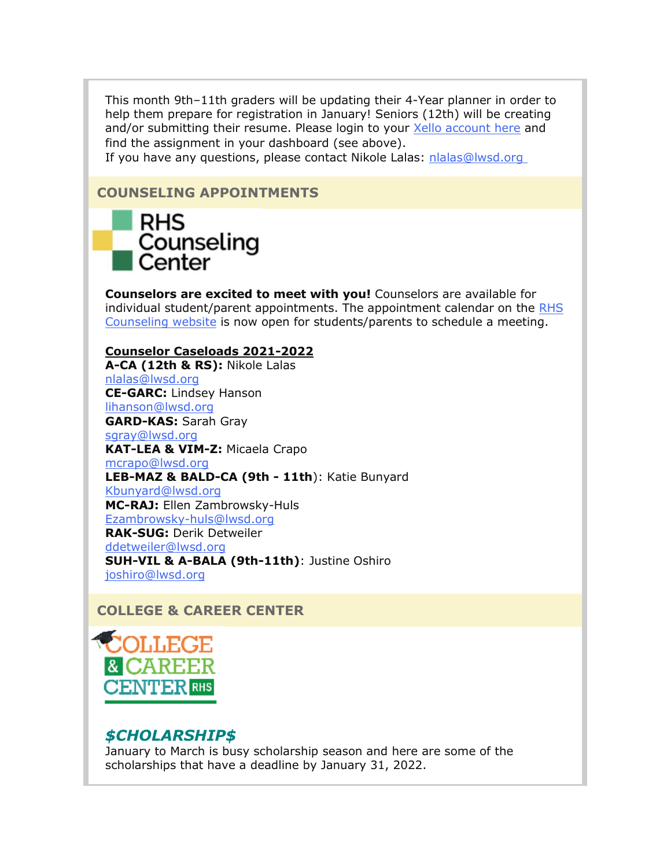This month 9th–11th graders will be updating their 4-Year planner in order to help them prepare for registration in January! Seniors (12th) will be creating and/or submitting their resume. Please login to your [Xello account here](https://nam02.safelinks.protection.outlook.com/?url=http%3A%2F%2Flink.email.dynect.net%2Flink.php%3FDynEngagement%3Dtrue%26H%3DOOqfIEhTnDS349ke6cpwQyJJsnz1EIHT%252FaVku0ZQcaF2SFWFVk3NNW39KTE%252FMjezRaBEw4bA1VC7lA5wlEJw6ABIpFllooMdl8oUTtbfh2ebmaovyEjFqA%253D%253D%26G%3D0%26R%3Dhttps%253A%252F%252FHFGSGYZTANA.hatchbuck.com%252FTrackLinkClick%253FID2%253DlDLXAf0P_dXB3TzfsTR9FFKW-OfxfGqixatiR0M1ewkGZ-Qt8BDrkUV4SMvhVkAW0%26I%3D20220114230329.000000100947%2540smtp-ad3-48-phx%26X%3DMHwxMjY0OTIyOjI0MzAxMDgzODE7MXwxMjY0OTIzOjE5MTE1MzMzMTs%253D%26V%3D3%26S%3DE1S1cNpuXg5eNnvJQgX33l_fLb0BPR80IDF34csPNKw&data=04%7C01%7Cmwood%40lwsd.org%7C917023bcc2624ea0602808d9d7b214f2%7C1fd4673fdf9646218638a1d88c4c85d7%7C0%7C0%7C637777982145421698%7CUnknown%7CTWFpbGZsb3d8eyJWIjoiMC4wLjAwMDAiLCJQIjoiV2luMzIiLCJBTiI6Ik1haWwiLCJXVCI6Mn0%3D%7C3000&sdata=GZpNrq2ZRGRZz7wSkq6%2BTwJAUgIlllHardMiHnnp%2FzM%3D&reserved=0) and find the assignment in your dashboard (see above).

If you have any questions, please contact Nikole Lalas: nlalas@lwsd.org

## **COUNSELING APPOINTMENTS**

# **RHS** Counseling Center

**Counselors are excited to meet with you!** Counselors are available for individual student/parent appointments. The appointment calendar on the [RHS](https://nam02.safelinks.protection.outlook.com/?url=http%3A%2F%2Flink.email.dynect.net%2Flink.php%3FDynEngagement%3Dtrue%26H%3DOOqfIEhTnDS349ke6cpwQyJJsnz1EIHT%252FaVku0ZQcaF2SFWFVk3NNW39KTE%252FMjezRaBEw4bA1VC7lA5wlEJw6ABIpFllooMdl8oUTtbfh2ebmaovyEjFqA%253D%253D%26G%3D0%26R%3Dhttps%253A%252F%252FHFGSGYZTANA.hatchbuck.com%252FTrackLinkClick%253FID2%253Dr0SP585otx2VD7J4MDeDocE6Ah6EC5IsNpHYQVBzgw5rhFQfNzc6Rt7Qq6c3BSxk0%26I%3D20220114230329.000000100947%2540smtp-ad3-48-phx%26X%3DMHwxMjY0OTIyOjI0MzAxMDgzODE7MXwxMjY0OTIzOjE5MTE1MzMzMTs%253D%26V%3D3%26S%3DJrvOvYMyI_xchntIHO4JWXpoD2b6SFXeS0Cr0WaSIRA&data=04%7C01%7Cmwood%40lwsd.org%7C917023bcc2624ea0602808d9d7b214f2%7C1fd4673fdf9646218638a1d88c4c85d7%7C0%7C0%7C637777982145421698%7CUnknown%7CTWFpbGZsb3d8eyJWIjoiMC4wLjAwMDAiLCJQIjoiV2luMzIiLCJBTiI6Ik1haWwiLCJXVCI6Mn0%3D%7C3000&sdata=nQBVNVl%2FedYQB%2F0q5iX20c2x72jigLefkDa4P9fRjZI%3D&reserved=0)  [Counseling website](https://nam02.safelinks.protection.outlook.com/?url=http%3A%2F%2Flink.email.dynect.net%2Flink.php%3FDynEngagement%3Dtrue%26H%3DOOqfIEhTnDS349ke6cpwQyJJsnz1EIHT%252FaVku0ZQcaF2SFWFVk3NNW39KTE%252FMjezRaBEw4bA1VC7lA5wlEJw6ABIpFllooMdl8oUTtbfh2ebmaovyEjFqA%253D%253D%26G%3D0%26R%3Dhttps%253A%252F%252FHFGSGYZTANA.hatchbuck.com%252FTrackLinkClick%253FID2%253Dr0SP585otx2VD7J4MDeDocE6Ah6EC5IsNpHYQVBzgw5rhFQfNzc6Rt7Qq6c3BSxk0%26I%3D20220114230329.000000100947%2540smtp-ad3-48-phx%26X%3DMHwxMjY0OTIyOjI0MzAxMDgzODE7MXwxMjY0OTIzOjE5MTE1MzMzMTs%253D%26V%3D3%26S%3DJrvOvYMyI_xchntIHO4JWXpoD2b6SFXeS0Cr0WaSIRA&data=04%7C01%7Cmwood%40lwsd.org%7C917023bcc2624ea0602808d9d7b214f2%7C1fd4673fdf9646218638a1d88c4c85d7%7C0%7C0%7C637777982145421698%7CUnknown%7CTWFpbGZsb3d8eyJWIjoiMC4wLjAwMDAiLCJQIjoiV2luMzIiLCJBTiI6Ik1haWwiLCJXVCI6Mn0%3D%7C3000&sdata=nQBVNVl%2FedYQB%2F0q5iX20c2x72jigLefkDa4P9fRjZI%3D&reserved=0) is now open for students/parents to schedule a meeting.

#### **Counselor Caseloads 2021-2022**

**A-CA (12th & RS):** Nikole Lalas [nlalas@lwsd.org](mailto:nlalas@lwsd.org) **CE-GARC:** Lindsey Hanson [lihanson@lwsd.org](mailto:lihanson@lwsd.org) **GARD-KAS:** Sarah Gray [sgray@lwsd.org](mailto:sgray@lwsd.org) **KAT-LEA & VIM-Z:** Micaela Crapo [mcrapo@lwsd.org](mailto:mcrapo@lwsd.org) **LEB-MAZ & BALD-CA (9th - 11th**): Katie Bunyard [Kbunyard@lwsd.org](mailto:Kbunyard@lwsd.org) **MC-RAJ:** Ellen Zambrowsky-Huls [Ezambrowsky-huls@lwsd.org](mailto:Ezambrowsky-huls@lwsd.org) **RAK-SUG:** Derik Detweiler [ddetweiler@lwsd.org](mailto:ddetweiler@lwsd.org) **SUH-VIL & A-BALA (9th-11th)**: Justine Oshiro [joshiro@lwsd.org](mailto:joshiro@lwsd.org)

# **COLLEGE & CAREER CENTER**



# *\$CHOLARSHIP\$*

January to March is busy scholarship season and here are some of the scholarships that have a deadline by January 31, 2022.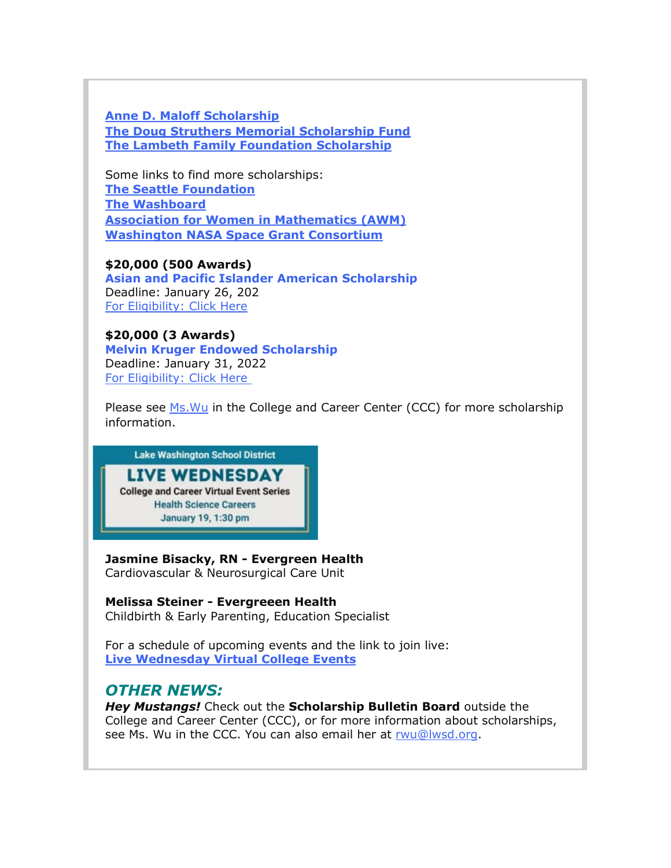**[Anne D. Maloff Scholarship](https://nam02.safelinks.protection.outlook.com/?url=http%3A%2F%2Flink.email.dynect.net%2Flink.php%3FDynEngagement%3Dtrue%26H%3DOOqfIEhTnDS349ke6cpwQyJJsnz1EIHT%252FaVku0ZQcaF2SFWFVk3NNW39KTE%252FMjezRaBEw4bA1VC7lA5wlEJw6ABIpFllooMdl8oUTtbfh2ebmaovyEjFqA%253D%253D%26G%3D0%26R%3Dhttps%253A%252F%252FHFGSGYZTANA.hatchbuck.com%252FTrackLinkClick%253FID2%253DqyK6qqkccLKN5z9tJtP_AZ7190WE7QMfJrcSbY37rlWpiVCPsIxEC8wwqLcQx2iY0%26I%3D20220114230329.000000100947%2540smtp-ad3-48-phx%26X%3DMHwxMjY0OTIyOjI0MzAxMDgzODE7MXwxMjY0OTIzOjE5MTE1MzMzMTs%253D%26V%3D3%26S%3DbH3dR7-0oHz02Ve8NTdZvzrZ__Sb98mWb-8si87Sn_Y&data=04%7C01%7Cmwood%40lwsd.org%7C917023bcc2624ea0602808d9d7b214f2%7C1fd4673fdf9646218638a1d88c4c85d7%7C0%7C0%7C637777982145421698%7CUnknown%7CTWFpbGZsb3d8eyJWIjoiMC4wLjAwMDAiLCJQIjoiV2luMzIiLCJBTiI6Ik1haWwiLCJXVCI6Mn0%3D%7C3000&sdata=n%2BJAC%2BXG%2BtilezaiWkI6rJrnYnKQDwFVI5y9WQXzd8U%3D&reserved=0) [The Doug Struthers Memorial Scholarship Fund](https://nam02.safelinks.protection.outlook.com/?url=http%3A%2F%2Flink.email.dynect.net%2Flink.php%3FDynEngagement%3Dtrue%26H%3DOOqfIEhTnDS349ke6cpwQyJJsnz1EIHT%252FaVku0ZQcaF2SFWFVk3NNW39KTE%252FMjezRaBEw4bA1VC7lA5wlEJw6ABIpFllooMdl8oUTtbfh2ebmaovyEjFqA%253D%253D%26G%3D0%26R%3Dhttps%253A%252F%252FHFGSGYZTANA.hatchbuck.com%252FTrackLinkClick%253FID2%253DF-CdVnpM0jOllXyDcQxbS-I-PG76jpR8Kfe7qcqqtVLjrMVA_6ccz7k8GjRvPQ5q0%26I%3D20220114230329.000000100947%2540smtp-ad3-48-phx%26X%3DMHwxMjY0OTIyOjI0MzAxMDgzODE7MXwxMjY0OTIzOjE5MTE1MzMzMTs%253D%26V%3D3%26S%3Djyyi0Bu4RFZKduxZLE7O5ZsLfVzI4iL7As1DqmmAViE&data=04%7C01%7Cmwood%40lwsd.org%7C917023bcc2624ea0602808d9d7b214f2%7C1fd4673fdf9646218638a1d88c4c85d7%7C0%7C0%7C637777982145421698%7CUnknown%7CTWFpbGZsb3d8eyJWIjoiMC4wLjAwMDAiLCJQIjoiV2luMzIiLCJBTiI6Ik1haWwiLCJXVCI6Mn0%3D%7C3000&sdata=NTRSbp4NfrmlH5B2jkuhhleaEWLmEh62z6a3KIz%2FwsY%3D&reserved=0) [The Lambeth Family Foundation Scholarship](https://nam02.safelinks.protection.outlook.com/?url=http%3A%2F%2Flink.email.dynect.net%2Flink.php%3FDynEngagement%3Dtrue%26H%3DOOqfIEhTnDS349ke6cpwQyJJsnz1EIHT%252FaVku0ZQcaF2SFWFVk3NNW39KTE%252FMjezRaBEw4bA1VC7lA5wlEJw6ABIpFllooMdl8oUTtbfh2ebmaovyEjFqA%253D%253D%26G%3D0%26R%3Dhttps%253A%252F%252FHFGSGYZTANA.hatchbuck.com%252FTrackLinkClick%253FID2%253D3WuSVa7PZs2g-hoBxE-BRHurRjILDJ0_YoTl-yxYrmJdKy6cU0C7E8kh5GuTYbbL0%26I%3D20220114230329.000000100947%2540smtp-ad3-48-phx%26X%3DMHwxMjY0OTIyOjI0MzAxMDgzODE7MXwxMjY0OTIzOjE5MTE1MzMzMTs%253D%26V%3D3%26S%3DbjBh_NyodKeSzcs3qGElEqceyVaBifJPDuXaG1JAIMQ&data=04%7C01%7Cmwood%40lwsd.org%7C917023bcc2624ea0602808d9d7b214f2%7C1fd4673fdf9646218638a1d88c4c85d7%7C0%7C0%7C637777982145421698%7CUnknown%7CTWFpbGZsb3d8eyJWIjoiMC4wLjAwMDAiLCJQIjoiV2luMzIiLCJBTiI6Ik1haWwiLCJXVCI6Mn0%3D%7C3000&sdata=O8hiFJeq3PoD8URMgTTxQkqO2PfO4tb5sKEAFZSzHgY%3D&reserved=0)**

Some links to find more scholarships: **[The Seattle Foundation](https://nam02.safelinks.protection.outlook.com/?url=http%3A%2F%2Flink.email.dynect.net%2Flink.php%3FDynEngagement%3Dtrue%26H%3DOOqfIEhTnDS349ke6cpwQyJJsnz1EIHT%252FaVku0ZQcaF2SFWFVk3NNW39KTE%252FMjezRaBEw4bA1VC7lA5wlEJw6ABIpFllooMdl8oUTtbfh2ebmaovyEjFqA%253D%253D%26G%3D0%26R%3Dhttps%253A%252F%252FHFGSGYZTANA.hatchbuck.com%252FTrackLinkClick%253FID2%253DqQgsQsM51hDjqxlE2CSwFTV_coiNYcNymP8FNmPwBHj91EMQS_xB8vLnJJLBIkZf0%26I%3D20220114230329.000000100947%2540smtp-ad3-48-phx%26X%3DMHwxMjY0OTIyOjI0MzAxMDgzODE7MXwxMjY0OTIzOjE5MTE1MzMzMTs%253D%26V%3D3%26S%3Dx_m9Q2yUEa_lI4u2dRTKXBDORT2AbR1ZXuQ4vaPYZT8&data=04%7C01%7Cmwood%40lwsd.org%7C917023bcc2624ea0602808d9d7b214f2%7C1fd4673fdf9646218638a1d88c4c85d7%7C0%7C0%7C637777982145421698%7CUnknown%7CTWFpbGZsb3d8eyJWIjoiMC4wLjAwMDAiLCJQIjoiV2luMzIiLCJBTiI6Ik1haWwiLCJXVCI6Mn0%3D%7C3000&sdata=regXOJIRd7DOUjxkrXOlmYPfvvhUxeXEDlRaHwKN45E%3D&reserved=0) [The Washboard](https://nam02.safelinks.protection.outlook.com/?url=http%3A%2F%2Flink.email.dynect.net%2Flink.php%3FDynEngagement%3Dtrue%26H%3DOOqfIEhTnDS349ke6cpwQyJJsnz1EIHT%252FaVku0ZQcaF2SFWFVk3NNW39KTE%252FMjezRaBEw4bA1VC7lA5wlEJw6ABIpFllooMdl8oUTtbfh2ebmaovyEjFqA%253D%253D%26G%3D0%26R%3Dhttps%253A%252F%252FHFGSGYZTANA.hatchbuck.com%252FTrackLinkClick%253FID2%253D6c-p3Xeh2uGP_uj1kO4FQ5982BNNfAMyo5WK56ul6jOgNZOrQFFBAP7DdOTP0e_00%26I%3D20220114230329.000000100947%2540smtp-ad3-48-phx%26X%3DMHwxMjY0OTIyOjI0MzAxMDgzODE7MXwxMjY0OTIzOjE5MTE1MzMzMTs%253D%26V%3D3%26S%3D3s-m8b4WPwRnV8UI8aAVZLk_VuS4GbeN0Qxi01to6sU&data=04%7C01%7Cmwood%40lwsd.org%7C917023bcc2624ea0602808d9d7b214f2%7C1fd4673fdf9646218638a1d88c4c85d7%7C0%7C0%7C637777982145421698%7CUnknown%7CTWFpbGZsb3d8eyJWIjoiMC4wLjAwMDAiLCJQIjoiV2luMzIiLCJBTiI6Ik1haWwiLCJXVCI6Mn0%3D%7C3000&sdata=Ggk6U6jb%2B95t%2FwJ1dJjOZo32fm8zUxzSjPXeUuXcrU4%3D&reserved=0) [Association for Women in Mathematics \(AWM\)](https://nam02.safelinks.protection.outlook.com/?url=http%3A%2F%2Flink.email.dynect.net%2Flink.php%3FDynEngagement%3Dtrue%26H%3DOOqfIEhTnDS349ke6cpwQyJJsnz1EIHT%252FaVku0ZQcaF2SFWFVk3NNW39KTE%252FMjezRaBEw4bA1VC7lA5wlEJw6ABIpFllooMdl8oUTtbfh2ebmaovyEjFqA%253D%253D%26G%3D0%26R%3Dhttps%253A%252F%252FHFGSGYZTANA.hatchbuck.com%252FTrackLinkClick%253FID2%253Dn5M1fUBJmhUAVklNYwtwUCca6mtKBL67IwhHf-WoYqo1O0dMJIvckJ5XBIPVx6Rg0%26I%3D20220114230329.000000100947%2540smtp-ad3-48-phx%26X%3DMHwxMjY0OTIyOjI0MzAxMDgzODE7MXwxMjY0OTIzOjE5MTE1MzMzMTs%253D%26V%3D3%26S%3DovTvPQ9jy-KxYplOl8NSrdME31gMAreeYfc_4dKwnLY&data=04%7C01%7Cmwood%40lwsd.org%7C917023bcc2624ea0602808d9d7b214f2%7C1fd4673fdf9646218638a1d88c4c85d7%7C0%7C0%7C637777982145421698%7CUnknown%7CTWFpbGZsb3d8eyJWIjoiMC4wLjAwMDAiLCJQIjoiV2luMzIiLCJBTiI6Ik1haWwiLCJXVCI6Mn0%3D%7C3000&sdata=NVjE01D6PPugKzQhIQ2VIQsTfwk8I4Zsl9j9HN0E2cY%3D&reserved=0) [Washington NASA Space Grant Consortium](https://nam02.safelinks.protection.outlook.com/?url=http%3A%2F%2Flink.email.dynect.net%2Flink.php%3FDynEngagement%3Dtrue%26H%3DOOqfIEhTnDS349ke6cpwQyJJsnz1EIHT%252FaVku0ZQcaF2SFWFVk3NNW39KTE%252FMjezRaBEw4bA1VC7lA5wlEJw6ABIpFllooMdl8oUTtbfh2ebmaovyEjFqA%253D%253D%26G%3D0%26R%3Dhttps%253A%252F%252FHFGSGYZTANA.hatchbuck.com%252FTrackLinkClick%253FID2%253DL3n5UNjZyqG5yiOTljWm7BMmPI2NP8z5d7IFVn-LvZAzDO2cXyR-WpPwgqu5RP6K0%26I%3D20220114230329.000000100947%2540smtp-ad3-48-phx%26X%3DMHwxMjY0OTIyOjI0MzAxMDgzODE7MXwxMjY0OTIzOjE5MTE1MzMzMTs%253D%26V%3D3%26S%3D2ZhH0jDisN_YFIogmFzv-C2-J-brZNrZrvr8QMdKniQ&data=04%7C01%7Cmwood%40lwsd.org%7C917023bcc2624ea0602808d9d7b214f2%7C1fd4673fdf9646218638a1d88c4c85d7%7C0%7C0%7C637777982145421698%7CUnknown%7CTWFpbGZsb3d8eyJWIjoiMC4wLjAwMDAiLCJQIjoiV2luMzIiLCJBTiI6Ik1haWwiLCJXVCI6Mn0%3D%7C3000&sdata=MtHiw%2ByjLisXT%2FFrxErO22uRioJcFpHsFy%2FYaIGZGbI%3D&reserved=0)**

**\$20,000 (500 Awards) [Asian and Pacific Islander American Scholarship](https://nam02.safelinks.protection.outlook.com/?url=http%3A%2F%2Flink.email.dynect.net%2Flink.php%3FDynEngagement%3Dtrue%26H%3DOOqfIEhTnDS349ke6cpwQyJJsnz1EIHT%252FaVku0ZQcaF2SFWFVk3NNW39KTE%252FMjezRaBEw4bA1VC7lA5wlEJw6ABIpFllooMdl8oUTtbfh2ebmaovyEjFqA%253D%253D%26G%3D0%26R%3Dhttps%253A%252F%252FHFGSGYZTANA.hatchbuck.com%252FTrackLinkClick%253FID2%253DDpFNKS0O-7Llquelpmkn8sxHgTP3-8_wP6UCgTRaotAjKX4Xi-1ZG4Ijngfd8itB0%26I%3D20220114230329.000000100947%2540smtp-ad3-48-phx%26X%3DMHwxMjY0OTIyOjI0MzAxMDgzODE7MXwxMjY0OTIzOjE5MTE1MzMzMTs%253D%26V%3D3%26S%3Dr5BtLfEQsKlQYyPVwxtbJ89y2GWMeF-Qv0LL9KlaXr8&data=04%7C01%7Cmwood%40lwsd.org%7C917023bcc2624ea0602808d9d7b214f2%7C1fd4673fdf9646218638a1d88c4c85d7%7C0%7C0%7C637777982145421698%7CUnknown%7CTWFpbGZsb3d8eyJWIjoiMC4wLjAwMDAiLCJQIjoiV2luMzIiLCJBTiI6Ik1haWwiLCJXVCI6Mn0%3D%7C3000&sdata=JvPX7i29E46Qn6GA4U1T9qxG9Nkst3ymt4mr7NbevRU%3D&reserved=0)** Deadline: January 26, 202 [For Eligibility: Click Here](https://nam02.safelinks.protection.outlook.com/?url=http%3A%2F%2Flink.email.dynect.net%2Flink.php%3FDynEngagement%3Dtrue%26H%3DOOqfIEhTnDS349ke6cpwQyJJsnz1EIHT%252FaVku0ZQcaF2SFWFVk3NNW39KTE%252FMjezRaBEw4bA1VC7lA5wlEJw6ABIpFllooMdl8oUTtbfh2ebmaovyEjFqA%253D%253D%26G%3D0%26R%3Dhttps%253A%252F%252FHFGSGYZTANA.hatchbuck.com%252FTrackLinkClick%253FID2%253DDpFNKS0O-7Llquelpmkn8sxHgTP3-8_wP6UCgTRaotAjKX4Xi-1ZG4Ijngfd8itB0%26I%3D20220114230329.000000100947%2540smtp-ad3-48-phx%26X%3DMHwxMjY0OTIyOjI0MzAxMDgzODE7MXwxMjY0OTIzOjE5MTE1MzMzMTs%253D%26V%3D3%26S%3Dr5BtLfEQsKlQYyPVwxtbJ89y2GWMeF-Qv0LL9KlaXr8&data=04%7C01%7Cmwood%40lwsd.org%7C917023bcc2624ea0602808d9d7b214f2%7C1fd4673fdf9646218638a1d88c4c85d7%7C0%7C0%7C637777982145577940%7CUnknown%7CTWFpbGZsb3d8eyJWIjoiMC4wLjAwMDAiLCJQIjoiV2luMzIiLCJBTiI6Ik1haWwiLCJXVCI6Mn0%3D%7C3000&sdata=l%2BFe6UnzESNbZ4D3P4h1%2BJRKr3dAz1eB2hOaS8CmOLY%3D&reserved=0)

**\$20,000 (3 Awards) [Melvin Kruger Endowed Scholarship](https://nam02.safelinks.protection.outlook.com/?url=http%3A%2F%2Flink.email.dynect.net%2Flink.php%3FDynEngagement%3Dtrue%26H%3DOOqfIEhTnDS349ke6cpwQyJJsnz1EIHT%252FaVku0ZQcaF2SFWFVk3NNW39KTE%252FMjezRaBEw4bA1VC7lA5wlEJw6ABIpFllooMdl8oUTtbfh2ebmaovyEjFqA%253D%253D%26G%3D0%26R%3Dhttps%253A%252F%252FHFGSGYZTANA.hatchbuck.com%252FTrackLinkClick%253FID2%253DT893WEhzG36NPl53LqsVoXVz0BzUNIjCIEdxfmcOxR4pfEqZVApQyJV_VQ_Hb9220%26I%3D20220114230329.000000100947%2540smtp-ad3-48-phx%26X%3DMHwxMjY0OTIyOjI0MzAxMDgzODE7MXwxMjY0OTIzOjE5MTE1MzMzMTs%253D%26V%3D3%26S%3DJm7xjBTO5_S7WzCm1FznjWdsJxIiSC9aOz7QE0rjVew&data=04%7C01%7Cmwood%40lwsd.org%7C917023bcc2624ea0602808d9d7b214f2%7C1fd4673fdf9646218638a1d88c4c85d7%7C0%7C0%7C637777982145577940%7CUnknown%7CTWFpbGZsb3d8eyJWIjoiMC4wLjAwMDAiLCJQIjoiV2luMzIiLCJBTiI6Ik1haWwiLCJXVCI6Mn0%3D%7C3000&sdata=l5%2BzxrQPHYtiTnSqmYB2%2FNJ13ZCba4aHNInxhVyNSog%3D&reserved=0)** Deadline: January 31, 2022 [For Eligibility: Click Here](https://nam02.safelinks.protection.outlook.com/?url=http%3A%2F%2Flink.email.dynect.net%2Flink.php%3FDynEngagement%3Dtrue%26H%3DOOqfIEhTnDS349ke6cpwQyJJsnz1EIHT%252FaVku0ZQcaF2SFWFVk3NNW39KTE%252FMjezRaBEw4bA1VC7lA5wlEJw6ABIpFllooMdl8oUTtbfh2ebmaovyEjFqA%253D%253D%26G%3D0%26R%3Dhttps%253A%252F%252FHFGSGYZTANA.hatchbuck.com%252FTrackLinkClick%253FID2%253DT893WEhzG36NPl53LqsVoXVz0BzUNIjCIEdxfmcOxR4pfEqZVApQyJV_VQ_Hb9220%26I%3D20220114230329.000000100947%2540smtp-ad3-48-phx%26X%3DMHwxMjY0OTIyOjI0MzAxMDgzODE7MXwxMjY0OTIzOjE5MTE1MzMzMTs%253D%26V%3D3%26S%3DJm7xjBTO5_S7WzCm1FznjWdsJxIiSC9aOz7QE0rjVew&data=04%7C01%7Cmwood%40lwsd.org%7C917023bcc2624ea0602808d9d7b214f2%7C1fd4673fdf9646218638a1d88c4c85d7%7C0%7C0%7C637777982145577940%7CUnknown%7CTWFpbGZsb3d8eyJWIjoiMC4wLjAwMDAiLCJQIjoiV2luMzIiLCJBTiI6Ik1haWwiLCJXVCI6Mn0%3D%7C3000&sdata=l5%2BzxrQPHYtiTnSqmYB2%2FNJ13ZCba4aHNInxhVyNSog%3D&reserved=0)

Please see [Ms.Wu](mailto:rwu@lwsd.org) in the College and Career Center (CCC) for more scholarship information.



**Jasmine Bisacky, RN - Evergreen Health** Cardiovascular & Neurosurgical Care Unit

**Melissa Steiner - Evergreeen Health** Childbirth & Early Parenting, Education Specialist

For a schedule of upcoming events and the link to join live: **[Live Wednesday Virtual College Events](https://nam02.safelinks.protection.outlook.com/?url=http%3A%2F%2Flink.email.dynect.net%2Flink.php%3FDynEngagement%3Dtrue%26H%3DOOqfIEhTnDS349ke6cpwQyJJsnz1EIHT%252FaVku0ZQcaF2SFWFVk3NNW39KTE%252FMjezRaBEw4bA1VC7lA5wlEJw6ABIpFllooMdl8oUTtbfh2ebmaovyEjFqA%253D%253D%26G%3D0%26R%3Dhttps%253A%252F%252FHFGSGYZTANA.hatchbuck.com%252FTrackLinkClick%253FID2%253D0Jmb0SFTE6Ztq6GphDefSIZ6JPCb2vw-tTZYWRmG2eqdNAWCB-mk20-F2PspC_bL0%26I%3D20220114230329.000000100947%2540smtp-ad3-48-phx%26X%3DMHwxMjY0OTIyOjI0MzAxMDgzODE7MXwxMjY0OTIzOjE5MTE1MzMzMTs%253D%26V%3D3%26S%3DfPb5nql3raUVroUUTBFPcfmSVYwQAtCYlKD1W-LiJ0I&data=04%7C01%7Cmwood%40lwsd.org%7C917023bcc2624ea0602808d9d7b214f2%7C1fd4673fdf9646218638a1d88c4c85d7%7C0%7C0%7C637777982145577940%7CUnknown%7CTWFpbGZsb3d8eyJWIjoiMC4wLjAwMDAiLCJQIjoiV2luMzIiLCJBTiI6Ik1haWwiLCJXVCI6Mn0%3D%7C3000&sdata=izdUMrFVLieycnQUXeJpkbo3Hd5Nn7mxRTFovvsWIB8%3D&reserved=0)**

# *OTHER NEWS:*

*Hey Mustangs!* Check out the **Scholarship Bulletin Board** outside the College and Career Center (CCC), or for more information about scholarships, see Ms. Wu in the CCC. You can also email her at [rwu@lwsd.org.](mailto:rwu@lwsd.org)